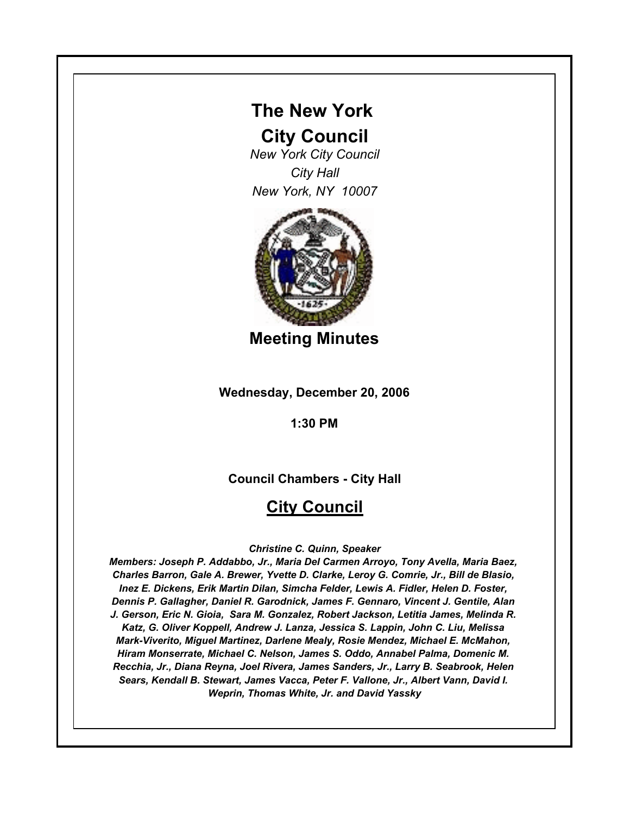# **The New York**

# **City Council**

*New York City Council City Hall New York, NY 10007*



**Meeting Minutes**

**Wednesday, December 20, 2006**

**1:30 PM**

**Council Chambers - City Hall**

# **City Council**

*Christine C. Quinn, Speaker*

*Members: Joseph P. Addabbo, Jr., Maria Del Carmen Arroyo, Tony Avella, Maria Baez, Charles Barron, Gale A. Brewer, Yvette D. Clarke, Leroy G. Comrie, Jr., Bill de Blasio, Inez E. Dickens, Erik Martin Dilan, Simcha Felder, Lewis A. Fidler, Helen D. Foster, Dennis P. Gallagher, Daniel R. Garodnick, James F. Gennaro, Vincent J. Gentile, Alan J. Gerson, Eric N. Gioia, Sara M. Gonzalez, Robert Jackson, Letitia James, Melinda R. Katz, G. Oliver Koppell, Andrew J. Lanza, Jessica S. Lappin, John C. Liu, Melissa Mark-Viverito, Miguel Martinez, Darlene Mealy, Rosie Mendez, Michael E. McMahon, Hiram Monserrate, Michael C. Nelson, James S. Oddo, Annabel Palma, Domenic M. Recchia, Jr., Diana Reyna, Joel Rivera, James Sanders, Jr., Larry B. Seabrook, Helen Sears, Kendall B. Stewart, James Vacca, Peter F. Vallone, Jr., Albert Vann, David I. Weprin, Thomas White, Jr. and David Yassky*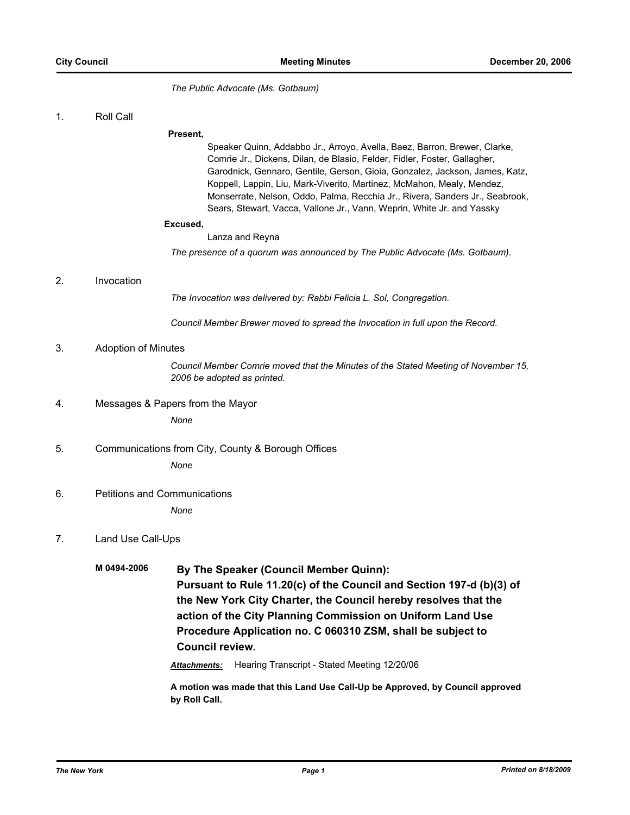*The Public Advocate (Ms. Gotbaum)*

1. Roll Call

#### **Present,**

Speaker Quinn, Addabbo Jr., Arroyo, Avella, Baez, Barron, Brewer, Clarke, Comrie Jr., Dickens, Dilan, de Blasio, Felder, Fidler, Foster, Gallagher, Garodnick, Gennaro, Gentile, Gerson, Gioia, Gonzalez, Jackson, James, Katz, Koppell, Lappin, Liu, Mark-Viverito, Martinez, McMahon, Mealy, Mendez, Monserrate, Nelson, Oddo, Palma, Recchia Jr., Rivera, Sanders Jr., Seabrook, Sears, Stewart, Vacca, Vallone Jr., Vann, Weprin, White Jr. and Yassky

#### **Excused,**

Lanza and Reyna

*The presence of a quorum was announced by The Public Advocate (Ms. Gotbaum).*

### 2. Invocation

*The Invocation was delivered by: Rabbi Felicia L. Sol, Congregation.*

*Council Member Brewer moved to spread the Invocation in full upon the Record.*

## 3. Adoption of Minutes

*Council Member Comrie moved that the Minutes of the Stated Meeting of November 15, 2006 be adopted as printed.*

4. Messages & Papers from the Mayor

*None*

- 5. Communications from City, County & Borough Offices *None*
- 6. Petitions and Communications

*None*

## 7. Land Use Call-Ups

**M 0494-2006 By The Speaker (Council Member Quinn): Pursuant to Rule 11.20(c) of the Council and Section 197-d (b)(3) of the New York City Charter, the Council hereby resolves that the action of the City Planning Commission on Uniform Land Use Procedure Application no. C 060310 ZSM, shall be subject to Council review.**

*Attachments:* Hearing Transcript - Stated Meeting 12/20/06

**A motion was made that this Land Use Call-Up be Approved, by Council approved by Roll Call.**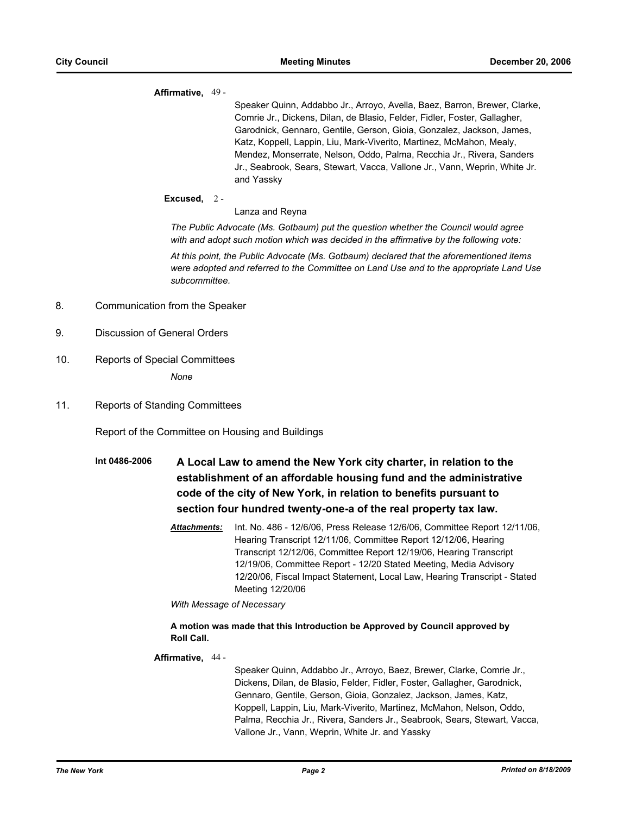### **Affirmative,** 49 -

Speaker Quinn, Addabbo Jr., Arroyo, Avella, Baez, Barron, Brewer, Clarke, Comrie Jr., Dickens, Dilan, de Blasio, Felder, Fidler, Foster, Gallagher, Garodnick, Gennaro, Gentile, Gerson, Gioia, Gonzalez, Jackson, James, Katz, Koppell, Lappin, Liu, Mark-Viverito, Martinez, McMahon, Mealy, Mendez, Monserrate, Nelson, Oddo, Palma, Recchia Jr., Rivera, Sanders Jr., Seabrook, Sears, Stewart, Vacca, Vallone Jr., Vann, Weprin, White Jr. and Yassky

## **Excused,** 2 -

### Lanza and Reyna

*The Public Advocate (Ms. Gotbaum) put the question whether the Council would agree with and adopt such motion which was decided in the affirmative by the following vote:*

*At this point, the Public Advocate (Ms. Gotbaum) declared that the aforementioned items were adopted and referred to the Committee on Land Use and to the appropriate Land Use subcommittee.*

- 8. Communication from the Speaker
- 9. Discussion of General Orders
- 10. Reports of Special Committees

*None*

11. Reports of Standing Committees

Report of the Committee on Housing and Buildings

- **Int 0486-2006 A Local Law to amend the New York city charter, in relation to the establishment of an affordable housing fund and the administrative code of the city of New York, in relation to benefits pursuant to section four hundred twenty-one-a of the real property tax law.**
	- *Attachments:* Int. No. 486 12/6/06, Press Release 12/6/06, Committee Report 12/11/06, Hearing Transcript 12/11/06, Committee Report 12/12/06, Hearing Transcript 12/12/06, Committee Report 12/19/06, Hearing Transcript 12/19/06, Committee Report - 12/20 Stated Meeting, Media Advisory 12/20/06, Fiscal Impact Statement, Local Law, Hearing Transcript - Stated Meeting 12/20/06

*With Message of Necessary*

## **A motion was made that this Introduction be Approved by Council approved by Roll Call.**

## **Affirmative,** 44 -

Speaker Quinn, Addabbo Jr., Arroyo, Baez, Brewer, Clarke, Comrie Jr., Dickens, Dilan, de Blasio, Felder, Fidler, Foster, Gallagher, Garodnick, Gennaro, Gentile, Gerson, Gioia, Gonzalez, Jackson, James, Katz, Koppell, Lappin, Liu, Mark-Viverito, Martinez, McMahon, Nelson, Oddo, Palma, Recchia Jr., Rivera, Sanders Jr., Seabrook, Sears, Stewart, Vacca, Vallone Jr., Vann, Weprin, White Jr. and Yassky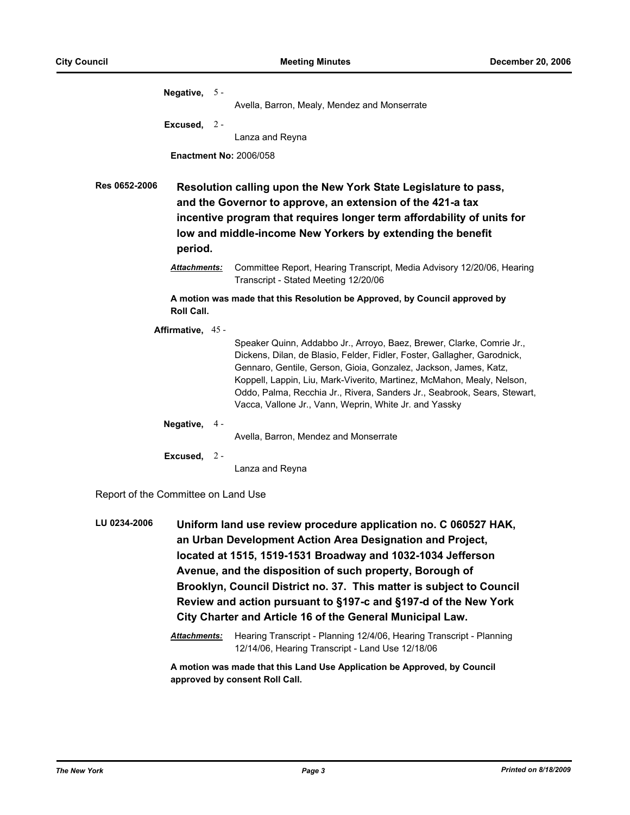| Negative, $5 -$                                                                                                                                                                                                                                                                                                                           |  | Avella, Barron, Mealy, Mendez and Monserrate                                                                                                                                                                                                                                                                                                                                                                                          |
|-------------------------------------------------------------------------------------------------------------------------------------------------------------------------------------------------------------------------------------------------------------------------------------------------------------------------------------------|--|---------------------------------------------------------------------------------------------------------------------------------------------------------------------------------------------------------------------------------------------------------------------------------------------------------------------------------------------------------------------------------------------------------------------------------------|
| Excused, $2 -$                                                                                                                                                                                                                                                                                                                            |  | Lanza and Reyna                                                                                                                                                                                                                                                                                                                                                                                                                       |
| <b>Enactment No: 2006/058</b><br><b>Res 0652-2006</b><br>Resolution calling upon the New York State Legislature to pass,<br>and the Governor to approve, an extension of the 421-a tax<br>incentive program that requires longer term affordability of units for<br>low and middle-income New Yorkers by extending the benefit<br>period. |  |                                                                                                                                                                                                                                                                                                                                                                                                                                       |
| <b>Attachments:</b>                                                                                                                                                                                                                                                                                                                       |  | Committee Report, Hearing Transcript, Media Advisory 12/20/06, Hearing<br>Transcript - Stated Meeting 12/20/06                                                                                                                                                                                                                                                                                                                        |
| <b>Roll Call.</b>                                                                                                                                                                                                                                                                                                                         |  | A motion was made that this Resolution be Approved, by Council approved by                                                                                                                                                                                                                                                                                                                                                            |
| Affirmative, 45 -                                                                                                                                                                                                                                                                                                                         |  | Speaker Quinn, Addabbo Jr., Arroyo, Baez, Brewer, Clarke, Comrie Jr.,<br>Dickens, Dilan, de Blasio, Felder, Fidler, Foster, Gallagher, Garodnick,<br>Gennaro, Gentile, Gerson, Gioia, Gonzalez, Jackson, James, Katz,<br>Koppell, Lappin, Liu, Mark-Viverito, Martinez, McMahon, Mealy, Nelson,<br>Oddo, Palma, Recchia Jr., Rivera, Sanders Jr., Seabrook, Sears, Stewart,<br>Vacca, Vallone Jr., Vann, Weprin, White Jr. and Yassky |
| Negative, 4 -                                                                                                                                                                                                                                                                                                                             |  | Avella, Barron, Mendez and Monserrate                                                                                                                                                                                                                                                                                                                                                                                                 |
| Excused, $2 -$                                                                                                                                                                                                                                                                                                                            |  | Lanza and Reyna                                                                                                                                                                                                                                                                                                                                                                                                                       |

Report of the Committee on Land Use

**LU 0234-2006 Uniform land use review procedure application no. C 060527 HAK, an Urban Development Action Area Designation and Project, located at 1515, 1519-1531 Broadway and 1032-1034 Jefferson Avenue, and the disposition of such property, Borough of Brooklyn, Council District no. 37. This matter is subject to Council Review and action pursuant to §197-c and §197-d of the New York City Charter and Article 16 of the General Municipal Law.**

> *Attachments:* Hearing Transcript - Planning 12/4/06, Hearing Transcript - Planning 12/14/06, Hearing Transcript - Land Use 12/18/06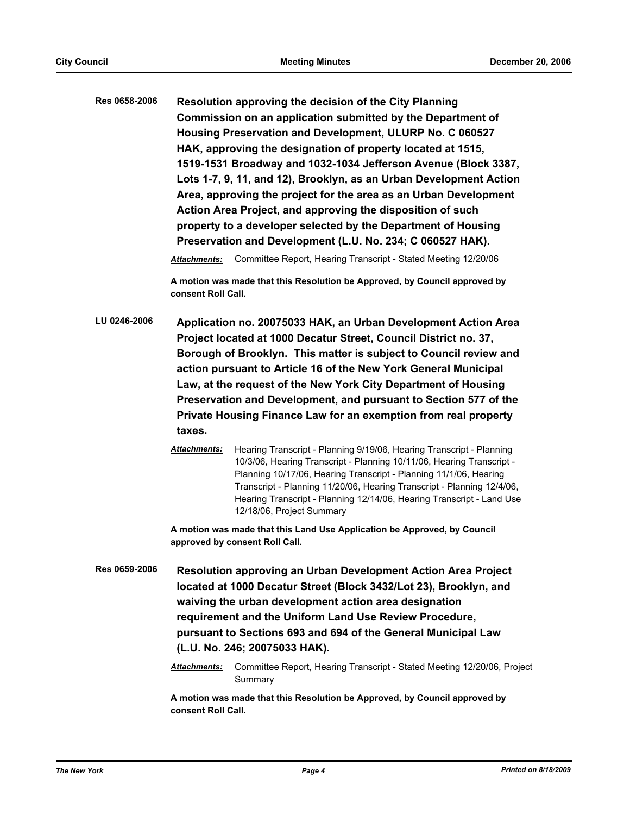**Res 0658-2006 Resolution approving the decision of the City Planning Commission on an application submitted by the Department of Housing Preservation and Development, ULURP No. C 060527 HAK, approving the designation of property located at 1515, 1519-1531 Broadway and 1032-1034 Jefferson Avenue (Block 3387, Lots 1-7, 9, 11, and 12), Brooklyn, as an Urban Development Action Area, approving the project for the area as an Urban Development Action Area Project, and approving the disposition of such property to a developer selected by the Department of Housing Preservation and Development (L.U. No. 234; C 060527 HAK).**

*Attachments:* Committee Report, Hearing Transcript - Stated Meeting 12/20/06

**A motion was made that this Resolution be Approved, by Council approved by consent Roll Call.**

- **LU 0246-2006 Application no. 20075033 HAK, an Urban Development Action Area Project located at 1000 Decatur Street, Council District no. 37, Borough of Brooklyn. This matter is subject to Council review and action pursuant to Article 16 of the New York General Municipal Law, at the request of the New York City Department of Housing Preservation and Development, and pursuant to Section 577 of the Private Housing Finance Law for an exemption from real property taxes.**
	- *Attachments:* Hearing Transcript Planning 9/19/06, Hearing Transcript Planning 10/3/06, Hearing Transcript - Planning 10/11/06, Hearing Transcript - Planning 10/17/06, Hearing Transcript - Planning 11/1/06, Hearing Transcript - Planning 11/20/06, Hearing Transcript - Planning 12/4/06, Hearing Transcript - Planning 12/14/06, Hearing Transcript - Land Use 12/18/06, Project Summary

**A motion was made that this Land Use Application be Approved, by Council approved by consent Roll Call.**

**Res 0659-2006 Resolution approving an Urban Development Action Area Project located at 1000 Decatur Street (Block 3432/Lot 23), Brooklyn, and waiving the urban development action area designation requirement and the Uniform Land Use Review Procedure, pursuant to Sections 693 and 694 of the General Municipal Law (L.U. No. 246; 20075033 HAK).**

> *Attachments:* Committee Report, Hearing Transcript - Stated Meeting 12/20/06, Project Summary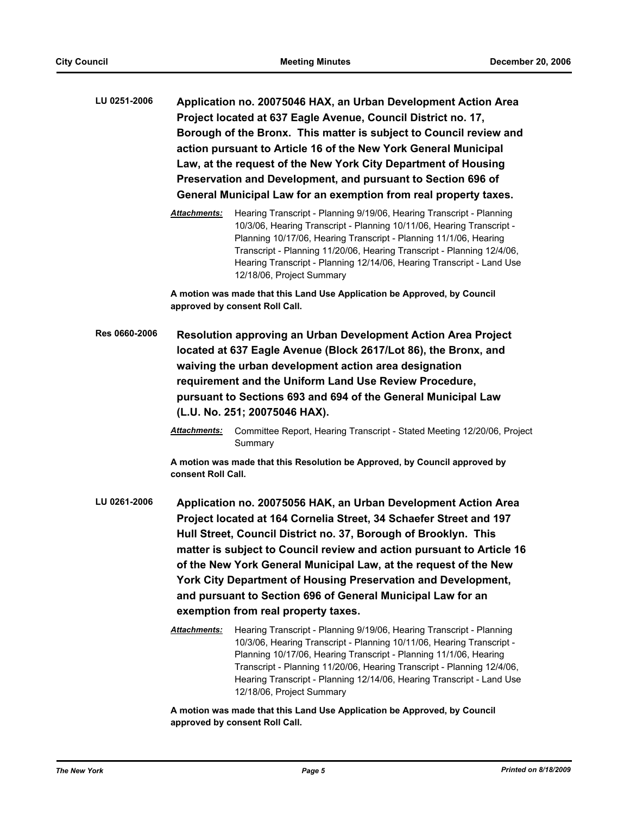**LU 0251-2006 Application no. 20075046 HAX, an Urban Development Action Area Project located at 637 Eagle Avenue, Council District no. 17, Borough of the Bronx. This matter is subject to Council review and action pursuant to Article 16 of the New York General Municipal Law, at the request of the New York City Department of Housing Preservation and Development, and pursuant to Section 696 of General Municipal Law for an exemption from real property taxes.**

> *Attachments:* Hearing Transcript - Planning 9/19/06, Hearing Transcript - Planning 10/3/06, Hearing Transcript - Planning 10/11/06, Hearing Transcript - Planning 10/17/06, Hearing Transcript - Planning 11/1/06, Hearing Transcript - Planning 11/20/06, Hearing Transcript - Planning 12/4/06, Hearing Transcript - Planning 12/14/06, Hearing Transcript - Land Use 12/18/06, Project Summary

**A motion was made that this Land Use Application be Approved, by Council approved by consent Roll Call.**

- **Res 0660-2006 Resolution approving an Urban Development Action Area Project located at 637 Eagle Avenue (Block 2617/Lot 86), the Bronx, and waiving the urban development action area designation requirement and the Uniform Land Use Review Procedure, pursuant to Sections 693 and 694 of the General Municipal Law (L.U. No. 251; 20075046 HAX).**
	- *Attachments:* Committee Report, Hearing Transcript Stated Meeting 12/20/06, Project Summary

**A motion was made that this Resolution be Approved, by Council approved by consent Roll Call.**

- **LU 0261-2006 Application no. 20075056 HAK, an Urban Development Action Area Project located at 164 Cornelia Street, 34 Schaefer Street and 197 Hull Street, Council District no. 37, Borough of Brooklyn. This matter is subject to Council review and action pursuant to Article 16 of the New York General Municipal Law, at the request of the New York City Department of Housing Preservation and Development, and pursuant to Section 696 of General Municipal Law for an exemption from real property taxes.**
	- *Attachments:* Hearing Transcript Planning 9/19/06, Hearing Transcript Planning 10/3/06, Hearing Transcript - Planning 10/11/06, Hearing Transcript - Planning 10/17/06, Hearing Transcript - Planning 11/1/06, Hearing Transcript - Planning 11/20/06, Hearing Transcript - Planning 12/4/06, Hearing Transcript - Planning 12/14/06, Hearing Transcript - Land Use 12/18/06, Project Summary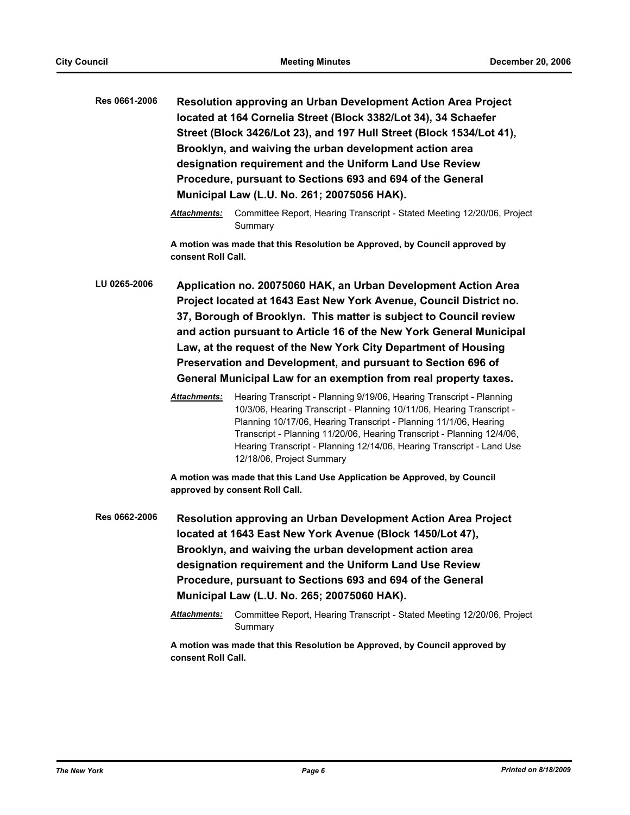| Res 0661-2006 |                                                                                                                                                                                                                                                                                                                                                                                                                                                                                        | Resolution approving an Urban Development Action Area Project<br>located at 164 Cornelia Street (Block 3382/Lot 34), 34 Schaefer<br>Street (Block 3426/Lot 23), and 197 Hull Street (Block 1534/Lot 41),<br>Brooklyn, and waiving the urban development action area<br>designation requirement and the Uniform Land Use Review<br>Procedure, pursuant to Sections 693 and 694 of the General<br>Municipal Law (L.U. No. 261; 20075056 HAK).                                    |
|---------------|----------------------------------------------------------------------------------------------------------------------------------------------------------------------------------------------------------------------------------------------------------------------------------------------------------------------------------------------------------------------------------------------------------------------------------------------------------------------------------------|--------------------------------------------------------------------------------------------------------------------------------------------------------------------------------------------------------------------------------------------------------------------------------------------------------------------------------------------------------------------------------------------------------------------------------------------------------------------------------|
|               | Attachments:                                                                                                                                                                                                                                                                                                                                                                                                                                                                           | Committee Report, Hearing Transcript - Stated Meeting 12/20/06, Project<br>Summary                                                                                                                                                                                                                                                                                                                                                                                             |
|               | consent Roll Call.                                                                                                                                                                                                                                                                                                                                                                                                                                                                     | A motion was made that this Resolution be Approved, by Council approved by                                                                                                                                                                                                                                                                                                                                                                                                     |
| LU 0265-2006  | Application no. 20075060 HAK, an Urban Development Action Area<br>Project located at 1643 East New York Avenue, Council District no.<br>37, Borough of Brooklyn. This matter is subject to Council review<br>and action pursuant to Article 16 of the New York General Municipal<br>Law, at the request of the New York City Department of Housing<br>Preservation and Development, and pursuant to Section 696 of<br>General Municipal Law for an exemption from real property taxes. |                                                                                                                                                                                                                                                                                                                                                                                                                                                                                |
|               | Attachments:                                                                                                                                                                                                                                                                                                                                                                                                                                                                           | Hearing Transcript - Planning 9/19/06, Hearing Transcript - Planning<br>10/3/06, Hearing Transcript - Planning 10/11/06, Hearing Transcript -<br>Planning 10/17/06, Hearing Transcript - Planning 11/1/06, Hearing<br>Transcript - Planning 11/20/06, Hearing Transcript - Planning 12/4/06,<br>Hearing Transcript - Planning 12/14/06, Hearing Transcript - Land Use<br>12/18/06, Project Summary<br>A motion was made that this Land Use Application be Approved, by Council |
|               |                                                                                                                                                                                                                                                                                                                                                                                                                                                                                        | approved by consent Roll Call.                                                                                                                                                                                                                                                                                                                                                                                                                                                 |
| Res 0662-2006 | <b>Attachments:</b>                                                                                                                                                                                                                                                                                                                                                                                                                                                                    | Resolution approving an Urban Development Action Area Project<br>located at 1643 East New York Avenue (Block 1450/Lot 47),<br>Brooklyn, and waiving the urban development action area<br>designation requirement and the Uniform Land Use Review<br>Procedure, pursuant to Sections 693 and 694 of the General<br>Municipal Law (L.U. No. 265; 20075060 HAK).<br>Committee Report, Hearing Transcript - Stated Meeting 12/20/06, Project                                       |
|               |                                                                                                                                                                                                                                                                                                                                                                                                                                                                                        | Summary                                                                                                                                                                                                                                                                                                                                                                                                                                                                        |
|               |                                                                                                                                                                                                                                                                                                                                                                                                                                                                                        | A motion was made that this Resolution be Approved, by Council approved by                                                                                                                                                                                                                                                                                                                                                                                                     |

**consent Roll Call.**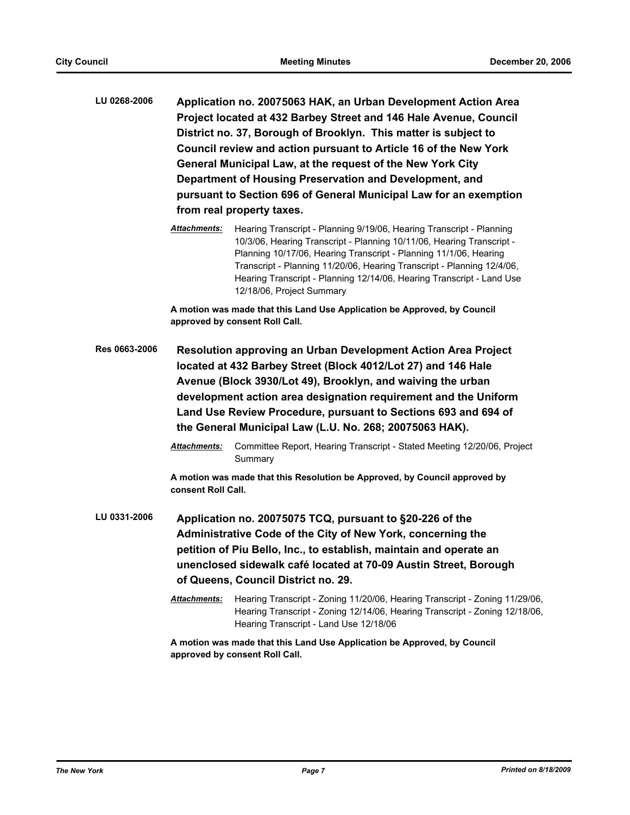- **LU 0268-2006 Application no. 20075063 HAK, an Urban Development Action Area Project located at 432 Barbey Street and 146 Hale Avenue, Council District no. 37, Borough of Brooklyn. This matter is subject to Council review and action pursuant to Article 16 of the New York General Municipal Law, at the request of the New York City Department of Housing Preservation and Development, and pursuant to Section 696 of General Municipal Law for an exemption from real property taxes.**
	- *Attachments:* Hearing Transcript Planning 9/19/06, Hearing Transcript Planning 10/3/06, Hearing Transcript - Planning 10/11/06, Hearing Transcript - Planning 10/17/06, Hearing Transcript - Planning 11/1/06, Hearing Transcript - Planning 11/20/06, Hearing Transcript - Planning 12/4/06, Hearing Transcript - Planning 12/14/06, Hearing Transcript - Land Use 12/18/06, Project Summary

**A motion was made that this Land Use Application be Approved, by Council approved by consent Roll Call.**

- **Res 0663-2006 Resolution approving an Urban Development Action Area Project located at 432 Barbey Street (Block 4012/Lot 27) and 146 Hale Avenue (Block 3930/Lot 49), Brooklyn, and waiving the urban development action area designation requirement and the Uniform Land Use Review Procedure, pursuant to Sections 693 and 694 of the General Municipal Law (L.U. No. 268; 20075063 HAK).**
	- *Attachments:* Committee Report, Hearing Transcript Stated Meeting 12/20/06, Project **Summary**

**A motion was made that this Resolution be Approved, by Council approved by consent Roll Call.**

- **LU 0331-2006 Application no. 20075075 TCQ, pursuant to §20-226 of the Administrative Code of the City of New York, concerning the petition of Piu Bello, Inc., to establish, maintain and operate an unenclosed sidewalk café located at 70-09 Austin Street, Borough of Queens, Council District no. 29.**
	- *Attachments:* Hearing Transcript Zoning 11/20/06, Hearing Transcript Zoning 11/29/06, Hearing Transcript - Zoning 12/14/06, Hearing Transcript - Zoning 12/18/06, Hearing Transcript - Land Use 12/18/06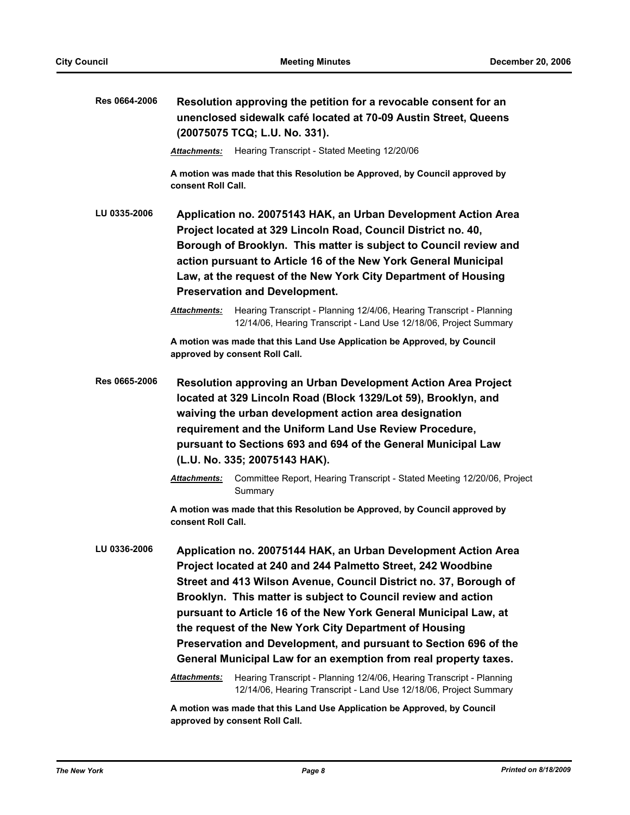| Res 0664-2006 | Resolution approving the petition for a revocable consent for an<br>unenclosed sidewalk café located at 70-09 Austin Street, Queens<br>(20075075 TCQ; L.U. No. 331).                                                                                                                                                                                                                                                                                                                                                                       |  |
|---------------|--------------------------------------------------------------------------------------------------------------------------------------------------------------------------------------------------------------------------------------------------------------------------------------------------------------------------------------------------------------------------------------------------------------------------------------------------------------------------------------------------------------------------------------------|--|
|               | Hearing Transcript - Stated Meeting 12/20/06<br>Attachments:                                                                                                                                                                                                                                                                                                                                                                                                                                                                               |  |
|               | A motion was made that this Resolution be Approved, by Council approved by<br>consent Roll Call.                                                                                                                                                                                                                                                                                                                                                                                                                                           |  |
| LU 0335-2006  | Application no. 20075143 HAK, an Urban Development Action Area<br>Project located at 329 Lincoln Road, Council District no. 40,<br>Borough of Brooklyn. This matter is subject to Council review and<br>action pursuant to Article 16 of the New York General Municipal<br>Law, at the request of the New York City Department of Housing<br><b>Preservation and Development.</b>                                                                                                                                                          |  |
|               | Attachments:<br>Hearing Transcript - Planning 12/4/06, Hearing Transcript - Planning<br>12/14/06, Hearing Transcript - Land Use 12/18/06, Project Summary                                                                                                                                                                                                                                                                                                                                                                                  |  |
|               | A motion was made that this Land Use Application be Approved, by Council<br>approved by consent Roll Call.                                                                                                                                                                                                                                                                                                                                                                                                                                 |  |
| Res 0665-2006 | Resolution approving an Urban Development Action Area Project<br>located at 329 Lincoln Road (Block 1329/Lot 59), Brooklyn, and<br>waiving the urban development action area designation<br>requirement and the Uniform Land Use Review Procedure,<br>pursuant to Sections 693 and 694 of the General Municipal Law<br>(L.U. No. 335; 20075143 HAK).                                                                                                                                                                                       |  |
|               | Committee Report, Hearing Transcript - Stated Meeting 12/20/06, Project<br>Attachments:<br>Summary                                                                                                                                                                                                                                                                                                                                                                                                                                         |  |
|               | A motion was made that this Resolution be Approved, by Council approved by<br>consent Roll Call.                                                                                                                                                                                                                                                                                                                                                                                                                                           |  |
| LU 0336-2006  | Application no. 20075144 HAK, an Urban Development Action Area<br>Project located at 240 and 244 Palmetto Street, 242 Woodbine<br>Street and 413 Wilson Avenue, Council District no. 37, Borough of<br>Brooklyn. This matter is subject to Council review and action<br>pursuant to Article 16 of the New York General Municipal Law, at<br>the request of the New York City Department of Housing<br>Preservation and Development, and pursuant to Section 696 of the<br>General Municipal Law for an exemption from real property taxes. |  |
|               | Attachments:<br>Hearing Transcript - Planning 12/4/06, Hearing Transcript - Planning<br>12/14/06, Hearing Transcript - Land Use 12/18/06, Project Summary                                                                                                                                                                                                                                                                                                                                                                                  |  |
|               | A motion was made that this Land Use Application be Approved, by Council                                                                                                                                                                                                                                                                                                                                                                                                                                                                   |  |

**approved by consent Roll Call.**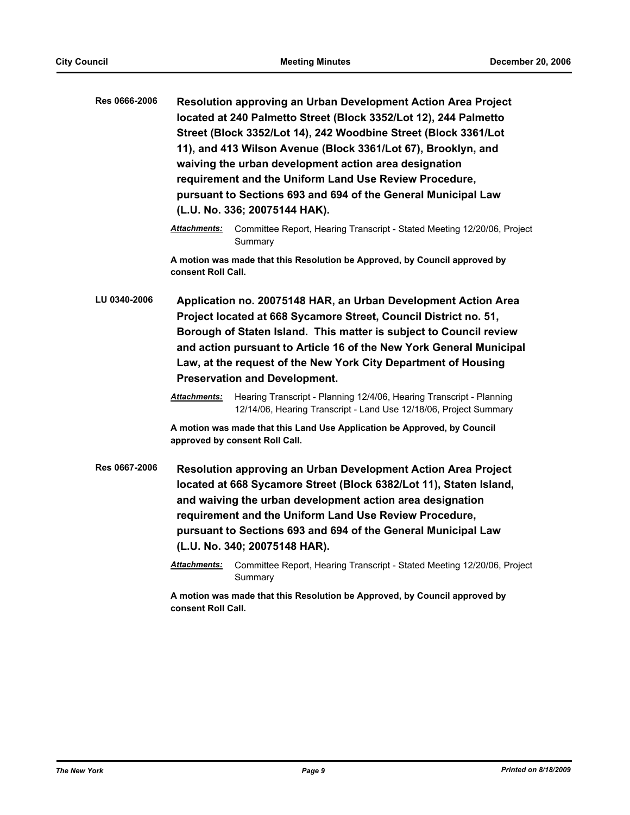| <b>Resolution approving an Urban Development Action Area Project</b> |
|----------------------------------------------------------------------|
| located at 240 Palmetto Street (Block 3352/Lot 12), 244 Palmetto     |
| Street (Block 3352/Lot 14), 242 Woodbine Street (Block 3361/Lot      |
| 11), and 413 Wilson Avenue (Block 3361/Lot 67), Brooklyn, and        |
| waiving the urban development action area designation                |
| requirement and the Uniform Land Use Review Procedure,               |
| pursuant to Sections 693 and 694 of the General Municipal Law        |
| (L.U. No. 336; 20075144 HAK).                                        |
|                                                                      |

**A motion was made that this Resolution be Approved, by Council approved by consent Roll Call.**

**LU 0340-2006 Application no. 20075148 HAR, an Urban Development Action Area Project located at 668 Sycamore Street, Council District no. 51, Borough of Staten Island. This matter is subject to Council review and action pursuant to Article 16 of the New York General Municipal Law, at the request of the New York City Department of Housing Preservation and Development.**

> *Attachments:* Hearing Transcript - Planning 12/4/06, Hearing Transcript - Planning 12/14/06, Hearing Transcript - Land Use 12/18/06, Project Summary

**A motion was made that this Land Use Application be Approved, by Council approved by consent Roll Call.**

- **Res 0667-2006 Resolution approving an Urban Development Action Area Project located at 668 Sycamore Street (Block 6382/Lot 11), Staten Island, and waiving the urban development action area designation requirement and the Uniform Land Use Review Procedure, pursuant to Sections 693 and 694 of the General Municipal Law (L.U. No. 340; 20075148 HAR).**
	- *Attachments:* Committee Report, Hearing Transcript Stated Meeting 12/20/06, Project Summary

*Attachments:* Committee Report, Hearing Transcript - Stated Meeting 12/20/06, Project Summary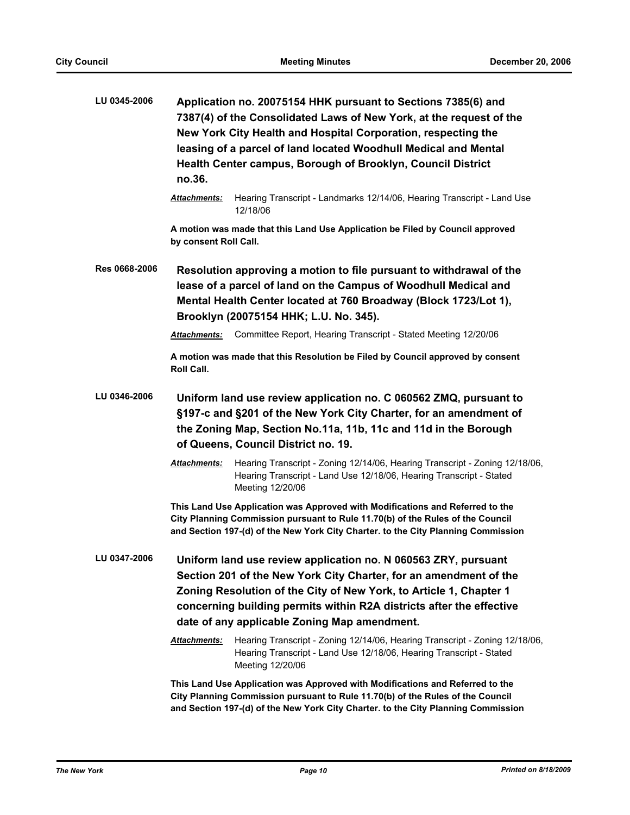| LU 0345-2006  | Application no. 20075154 HHK pursuant to Sections 7385(6) and<br>7387(4) of the Consolidated Laws of New York, at the request of the<br>New York City Health and Hospital Corporation, respecting the<br>leasing of a parcel of land located Woodhull Medical and Mental<br>Health Center campus, Borough of Brooklyn, Council District<br>no.36. |                                                                                                                                                                                                                                                                                                                                   |  |
|---------------|---------------------------------------------------------------------------------------------------------------------------------------------------------------------------------------------------------------------------------------------------------------------------------------------------------------------------------------------------|-----------------------------------------------------------------------------------------------------------------------------------------------------------------------------------------------------------------------------------------------------------------------------------------------------------------------------------|--|
|               | <b>Attachments:</b>                                                                                                                                                                                                                                                                                                                               | Hearing Transcript - Landmarks 12/14/06, Hearing Transcript - Land Use<br>12/18/06                                                                                                                                                                                                                                                |  |
|               | by consent Roll Call.                                                                                                                                                                                                                                                                                                                             | A motion was made that this Land Use Application be Filed by Council approved                                                                                                                                                                                                                                                     |  |
| Res 0668-2006 |                                                                                                                                                                                                                                                                                                                                                   | Resolution approving a motion to file pursuant to withdrawal of the<br>lease of a parcel of land on the Campus of Woodhull Medical and<br>Mental Health Center located at 760 Broadway (Block 1723/Lot 1),<br>Brooklyn (20075154 HHK; L.U. No. 345).                                                                              |  |
|               | <b>Attachments:</b>                                                                                                                                                                                                                                                                                                                               | Committee Report, Hearing Transcript - Stated Meeting 12/20/06                                                                                                                                                                                                                                                                    |  |
|               | <b>Roll Call.</b>                                                                                                                                                                                                                                                                                                                                 | A motion was made that this Resolution be Filed by Council approved by consent                                                                                                                                                                                                                                                    |  |
| LU 0346-2006  |                                                                                                                                                                                                                                                                                                                                                   | Uniform land use review application no. C 060562 ZMQ, pursuant to<br>§197-c and §201 of the New York City Charter, for an amendment of<br>the Zoning Map, Section No.11a, 11b, 11c and 11d in the Borough<br>of Queens, Council District no. 19.                                                                                  |  |
|               | <b>Attachments:</b>                                                                                                                                                                                                                                                                                                                               | Hearing Transcript - Zoning 12/14/06, Hearing Transcript - Zoning 12/18/06,<br>Hearing Transcript - Land Use 12/18/06, Hearing Transcript - Stated<br>Meeting 12/20/06                                                                                                                                                            |  |
|               |                                                                                                                                                                                                                                                                                                                                                   | This Land Use Application was Approved with Modifications and Referred to the<br>City Planning Commission pursuant to Rule 11.70(b) of the Rules of the Council<br>and Section 197-(d) of the New York City Charter. to the City Planning Commission                                                                              |  |
| LU 0347-2006  |                                                                                                                                                                                                                                                                                                                                                   | Uniform land use review application no. N 060563 ZRY, pursuant<br>Section 201 of the New York City Charter, for an amendment of the<br>Zoning Resolution of the City of New York, to Article 1, Chapter 1<br>concerning building permits within R2A districts after the effective<br>date of any applicable Zoning Map amendment. |  |
|               | <b>Attachments:</b>                                                                                                                                                                                                                                                                                                                               | Hearing Transcript - Zoning 12/14/06, Hearing Transcript - Zoning 12/18/06,<br>Hearing Transcript - Land Use 12/18/06, Hearing Transcript - Stated<br>Meeting 12/20/06                                                                                                                                                            |  |
|               |                                                                                                                                                                                                                                                                                                                                                   | This Land Use Application was Approved with Modifications and Referred to the                                                                                                                                                                                                                                                     |  |

**This Land Use Application was Approved with Modifications and Referred to the City Planning Commission pursuant to Rule 11.70(b) of the Rules of the Council and Section 197-(d) of the New York City Charter. to the City Planning Commission**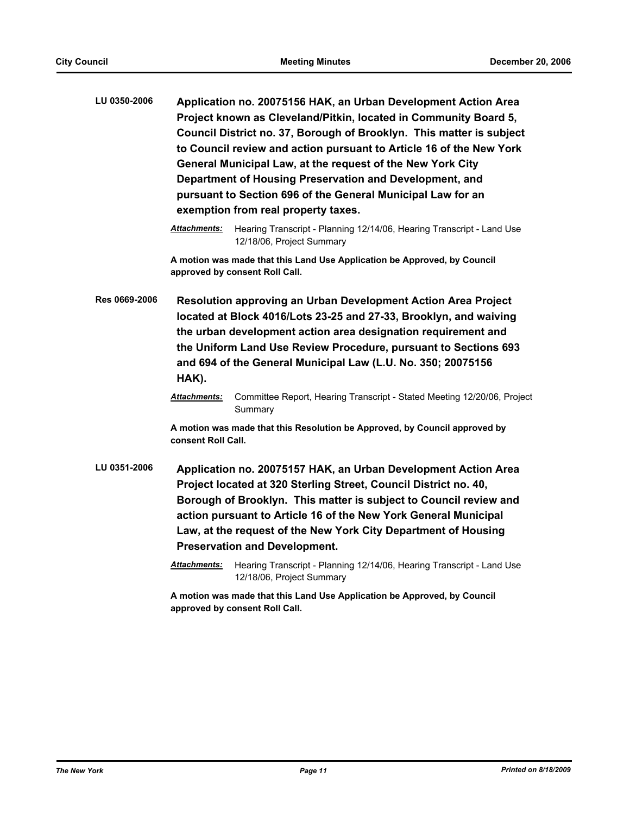| <b>LU 0350-2006</b> | Application no. 20075156 HAK, an Urban Development Action Area       |  |  |  |  |
|---------------------|----------------------------------------------------------------------|--|--|--|--|
|                     | Project known as Cleveland/Pitkin, located in Community Board 5,     |  |  |  |  |
|                     | Council District no. 37, Borough of Brooklyn. This matter is subject |  |  |  |  |
|                     | to Council review and action pursuant to Article 16 of the New York  |  |  |  |  |
|                     | General Municipal Law, at the request of the New York City           |  |  |  |  |
|                     | Department of Housing Preservation and Development, and              |  |  |  |  |
|                     | pursuant to Section 696 of the General Municipal Law for an          |  |  |  |  |
|                     | exemption from real property taxes.                                  |  |  |  |  |

**A motion was made that this Land Use Application be Approved, by Council approved by consent Roll Call.**

**Res 0669-2006 Resolution approving an Urban Development Action Area Project located at Block 4016/Lots 23-25 and 27-33, Brooklyn, and waiving the urban development action area designation requirement and the Uniform Land Use Review Procedure, pursuant to Sections 693 and 694 of the General Municipal Law (L.U. No. 350; 20075156 HAK).**

> *Attachments:* Committee Report, Hearing Transcript - Stated Meeting 12/20/06, Project **Summary**

**A motion was made that this Resolution be Approved, by Council approved by consent Roll Call.**

- **LU 0351-2006 Application no. 20075157 HAK, an Urban Development Action Area Project located at 320 Sterling Street, Council District no. 40, Borough of Brooklyn. This matter is subject to Council review and action pursuant to Article 16 of the New York General Municipal Law, at the request of the New York City Department of Housing Preservation and Development.**
	- *Attachments:* Hearing Transcript Planning 12/14/06, Hearing Transcript Land Use 12/18/06, Project Summary

*Attachments:* Hearing Transcript - Planning 12/14/06, Hearing Transcript - Land Use 12/18/06, Project Summary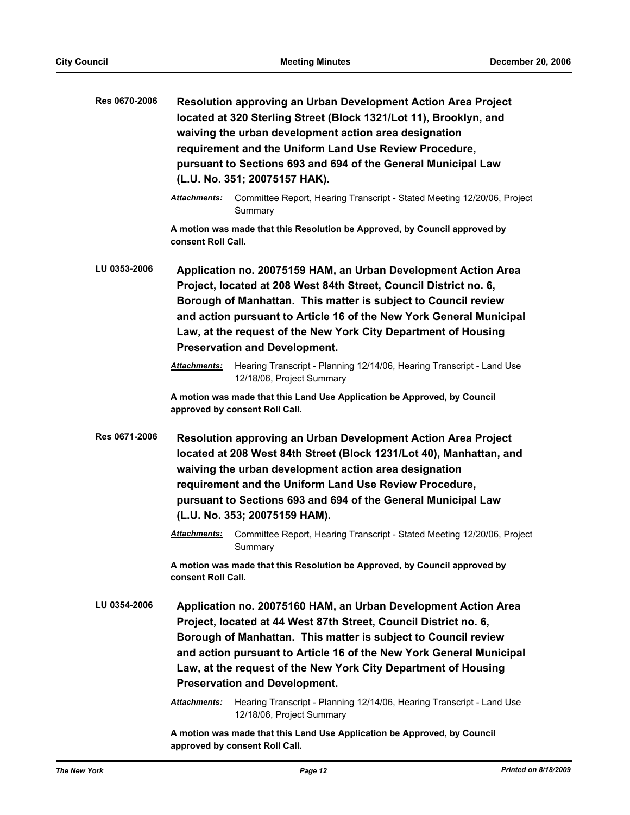| Res 0670-2006 | Resolution approving an Urban Development Action Area Project<br>located at 320 Sterling Street (Block 1321/Lot 11), Brooklyn, and<br>waiving the urban development action area designation<br>requirement and the Uniform Land Use Review Procedure,<br>pursuant to Sections 693 and 694 of the General Municipal Law<br>(L.U. No. 351; 20075157 HAK).                                |  |  |
|---------------|----------------------------------------------------------------------------------------------------------------------------------------------------------------------------------------------------------------------------------------------------------------------------------------------------------------------------------------------------------------------------------------|--|--|
|               | <b>Attachments:</b><br>Committee Report, Hearing Transcript - Stated Meeting 12/20/06, Project<br>Summary                                                                                                                                                                                                                                                                              |  |  |
|               | A motion was made that this Resolution be Approved, by Council approved by<br>consent Roll Call.                                                                                                                                                                                                                                                                                       |  |  |
| LU 0353-2006  | Application no. 20075159 HAM, an Urban Development Action Area<br>Project, located at 208 West 84th Street, Council District no. 6,<br>Borough of Manhattan. This matter is subject to Council review<br>and action pursuant to Article 16 of the New York General Municipal<br>Law, at the request of the New York City Department of Housing<br><b>Preservation and Development.</b> |  |  |
|               | Hearing Transcript - Planning 12/14/06, Hearing Transcript - Land Use<br>Attachments:<br>12/18/06, Project Summary                                                                                                                                                                                                                                                                     |  |  |
|               | A motion was made that this Land Use Application be Approved, by Council<br>approved by consent Roll Call.                                                                                                                                                                                                                                                                             |  |  |
| Res 0671-2006 | <b>Resolution approving an Urban Development Action Area Project</b><br>located at 208 West 84th Street (Block 1231/Lot 40), Manhattan, and<br>waiving the urban development action area designation<br>requirement and the Uniform Land Use Review Procedure,<br>pursuant to Sections 693 and 694 of the General Municipal Law<br>(L.U. No. 353; 20075159 HAM).                       |  |  |
|               | Attachments:<br>Committee Report, Hearing Transcript - Stated Meeting 12/20/06, Project<br>Summary                                                                                                                                                                                                                                                                                     |  |  |
|               | A motion was made that this Resolution be Approved, by Council approved by<br>consent Roll Call.                                                                                                                                                                                                                                                                                       |  |  |
| LU 0354-2006  | Application no. 20075160 HAM, an Urban Development Action Area<br>Project, located at 44 West 87th Street, Council District no. 6,<br>Borough of Manhattan. This matter is subject to Council review<br>and action pursuant to Article 16 of the New York General Municipal<br>Law, at the request of the New York City Department of Housing<br><b>Preservation and Development.</b>  |  |  |
|               | Hearing Transcript - Planning 12/14/06, Hearing Transcript - Land Use<br><b>Attachments:</b><br>12/18/06, Project Summary                                                                                                                                                                                                                                                              |  |  |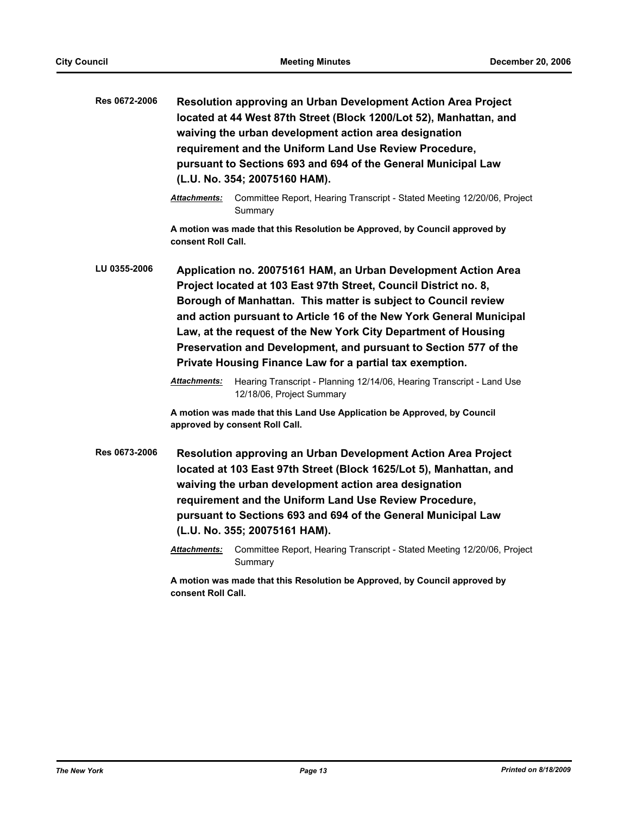| Res 0672-2006 | Resolution approving an Urban Development Action Area Project<br>located at 44 West 87th Street (Block 1200/Lot 52), Manhattan, and<br>waiving the urban development action area designation<br>requirement and the Uniform Land Use Review Procedure,<br>pursuant to Sections 693 and 694 of the General Municipal Law<br>(L.U. No. 354; 20075160 HAM).                                                                                                                                                                                                               |  |  |
|---------------|------------------------------------------------------------------------------------------------------------------------------------------------------------------------------------------------------------------------------------------------------------------------------------------------------------------------------------------------------------------------------------------------------------------------------------------------------------------------------------------------------------------------------------------------------------------------|--|--|
|               | <b>Attachments:</b><br>Committee Report, Hearing Transcript - Stated Meeting 12/20/06, Project<br>Summary                                                                                                                                                                                                                                                                                                                                                                                                                                                              |  |  |
|               | A motion was made that this Resolution be Approved, by Council approved by<br>consent Roll Call.                                                                                                                                                                                                                                                                                                                                                                                                                                                                       |  |  |
| LU 0355-2006  | Application no. 20075161 HAM, an Urban Development Action Area<br>Project located at 103 East 97th Street, Council District no. 8,<br>Borough of Manhattan. This matter is subject to Council review<br>and action pursuant to Article 16 of the New York General Municipal<br>Law, at the request of the New York City Department of Housing<br>Preservation and Development, and pursuant to Section 577 of the<br>Private Housing Finance Law for a partial tax exemption.<br>Attachments:<br>Hearing Transcript - Planning 12/14/06, Hearing Transcript - Land Use |  |  |
|               | 12/18/06, Project Summary<br>A motion was made that this Land Use Application be Approved, by Council<br>approved by consent Roll Call.                                                                                                                                                                                                                                                                                                                                                                                                                                |  |  |
| Res 0673-2006 | Resolution approving an Urban Development Action Area Project<br>located at 103 East 97th Street (Block 1625/Lot 5), Manhattan, and<br>waiving the urban development action area designation<br>requirement and the Uniform Land Use Review Procedure,<br>pursuant to Sections 693 and 694 of the General Municipal Law<br>(L.U. No. 355; 20075161 HAM).                                                                                                                                                                                                               |  |  |
|               | Attachments:<br>Committee Report, Hearing Transcript - Stated Meeting 12/20/06, Project<br>Summary                                                                                                                                                                                                                                                                                                                                                                                                                                                                     |  |  |
|               | A motion was made that this Resolution be Approved, by Council approved by<br>consent Roll Call.                                                                                                                                                                                                                                                                                                                                                                                                                                                                       |  |  |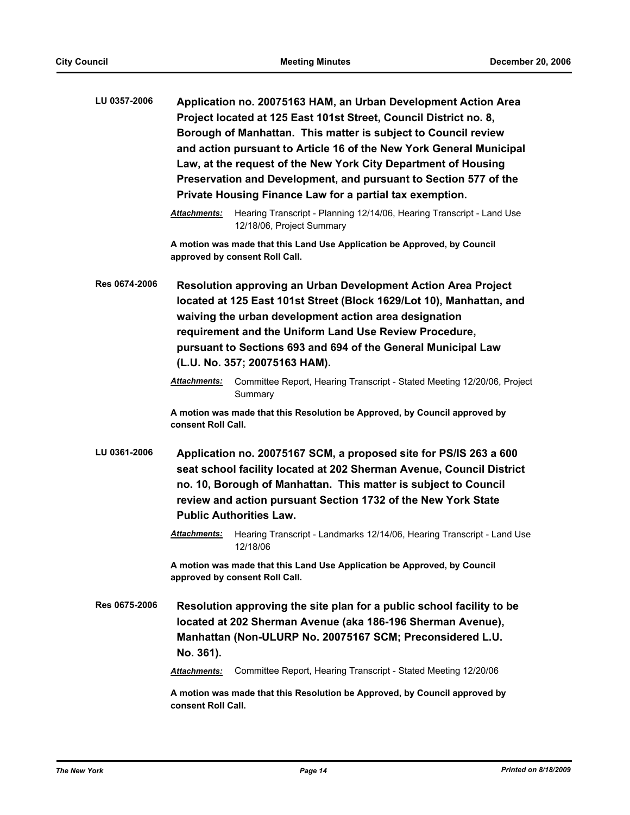| LU 0357-2006  | Application no. 20075163 HAM, an Urban Development Action Area<br>Project located at 125 East 101st Street, Council District no. 8,<br>Borough of Manhattan. This matter is subject to Council review<br>and action pursuant to Article 16 of the New York General Municipal<br>Law, at the request of the New York City Department of Housing<br>Preservation and Development, and pursuant to Section 577 of the<br>Private Housing Finance Law for a partial tax exemption. |
|---------------|--------------------------------------------------------------------------------------------------------------------------------------------------------------------------------------------------------------------------------------------------------------------------------------------------------------------------------------------------------------------------------------------------------------------------------------------------------------------------------|
|               | Hearing Transcript - Planning 12/14/06, Hearing Transcript - Land Use<br>Attachments:<br>12/18/06, Project Summary                                                                                                                                                                                                                                                                                                                                                             |
|               | A motion was made that this Land Use Application be Approved, by Council<br>approved by consent Roll Call.                                                                                                                                                                                                                                                                                                                                                                     |
| Res 0674-2006 | <b>Resolution approving an Urban Development Action Area Project</b><br>located at 125 East 101st Street (Block 1629/Lot 10), Manhattan, and<br>waiving the urban development action area designation<br>requirement and the Uniform Land Use Review Procedure,<br>pursuant to Sections 693 and 694 of the General Municipal Law<br>(L.U. No. 357; 20075163 HAM).                                                                                                              |
|               | <b>Attachments:</b><br>Committee Report, Hearing Transcript - Stated Meeting 12/20/06, Project<br>Summary                                                                                                                                                                                                                                                                                                                                                                      |
|               | A motion was made that this Resolution be Approved, by Council approved by<br>consent Roll Call.                                                                                                                                                                                                                                                                                                                                                                               |
| LU 0361-2006  | Application no. 20075167 SCM, a proposed site for PS/IS 263 a 600<br>seat school facility located at 202 Sherman Avenue, Council District<br>no. 10, Borough of Manhattan. This matter is subject to Council<br>review and action pursuant Section 1732 of the New York State<br><b>Public Authorities Law.</b>                                                                                                                                                                |
|               | Hearing Transcript - Landmarks 12/14/06, Hearing Transcript - Land Use<br><b>Attachments:</b><br>12/18/06                                                                                                                                                                                                                                                                                                                                                                      |
|               | A motion was made that this Land Use Application be Approved, by Council<br>approved by consent Roll Call.                                                                                                                                                                                                                                                                                                                                                                     |
| Res 0675-2006 | Resolution approving the site plan for a public school facility to be<br>located at 202 Sherman Avenue (aka 186-196 Sherman Avenue),<br>Manhattan (Non-ULURP No. 20075167 SCM; Preconsidered L.U.<br>No. 361).                                                                                                                                                                                                                                                                 |
|               | Committee Report, Hearing Transcript - Stated Meeting 12/20/06<br>Attachments:                                                                                                                                                                                                                                                                                                                                                                                                 |
|               | A motion was made that this Resolution be Approved, by Council approved by<br>consent Roll Call.                                                                                                                                                                                                                                                                                                                                                                               |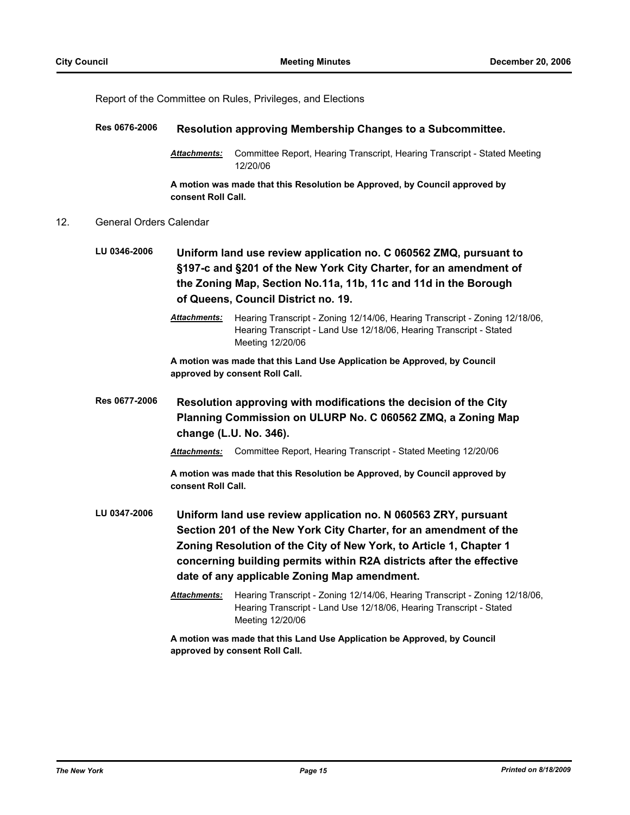Report of the Committee on Rules, Privileges, and Elections

# **Res 0676-2006 Resolution approving Membership Changes to a Subcommittee.**

*Attachments:* Committee Report, Hearing Transcript, Hearing Transcript - Stated Meeting 12/20/06

**A motion was made that this Resolution be Approved, by Council approved by consent Roll Call.**

## 12. General Orders Calendar

- **LU 0346-2006 Uniform land use review application no. C 060562 ZMQ, pursuant to §197-c and §201 of the New York City Charter, for an amendment of the Zoning Map, Section No.11a, 11b, 11c and 11d in the Borough of Queens, Council District no. 19.**
	- *Attachments:* Hearing Transcript Zoning 12/14/06, Hearing Transcript Zoning 12/18/06, Hearing Transcript - Land Use 12/18/06, Hearing Transcript - Stated Meeting 12/20/06

**A motion was made that this Land Use Application be Approved, by Council approved by consent Roll Call.**

**Res 0677-2006 Resolution approving with modifications the decision of the City Planning Commission on ULURP No. C 060562 ZMQ, a Zoning Map change (L.U. No. 346).**

*Attachments:* Committee Report, Hearing Transcript - Stated Meeting 12/20/06

**A motion was made that this Resolution be Approved, by Council approved by consent Roll Call.**

- **LU 0347-2006 Uniform land use review application no. N 060563 ZRY, pursuant Section 201 of the New York City Charter, for an amendment of the Zoning Resolution of the City of New York, to Article 1, Chapter 1 concerning building permits within R2A districts after the effective date of any applicable Zoning Map amendment.**
	- *Attachments:* Hearing Transcript Zoning 12/14/06, Hearing Transcript Zoning 12/18/06, Hearing Transcript - Land Use 12/18/06, Hearing Transcript - Stated Meeting 12/20/06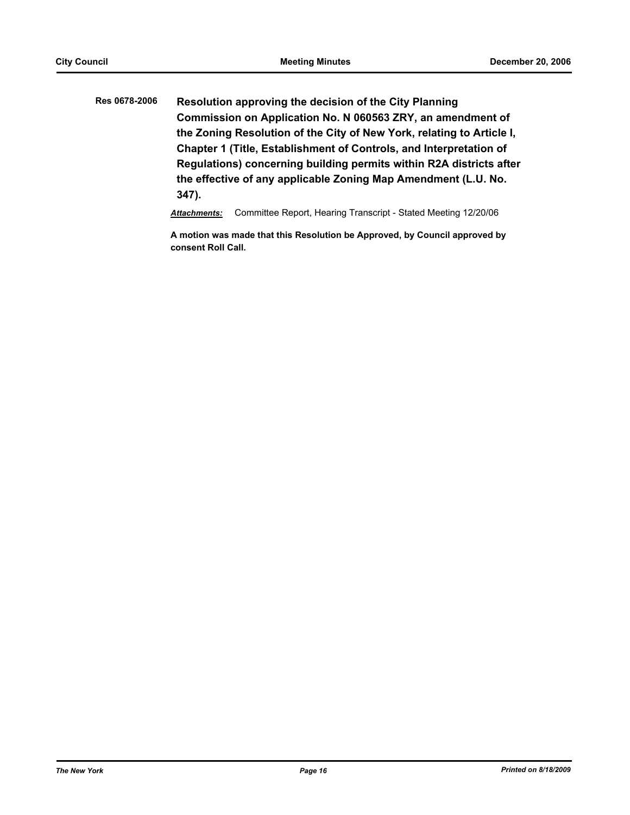**Res 0678-2006 Resolution approving the decision of the City Planning Commission on Application No. N 060563 ZRY, an amendment of the Zoning Resolution of the City of New York, relating to Article I, Chapter 1 (Title, Establishment of Controls, and Interpretation of Regulations) concerning building permits within R2A districts after the effective of any applicable Zoning Map Amendment (L.U. No. 347).**

*Attachments:* Committee Report, Hearing Transcript - Stated Meeting 12/20/06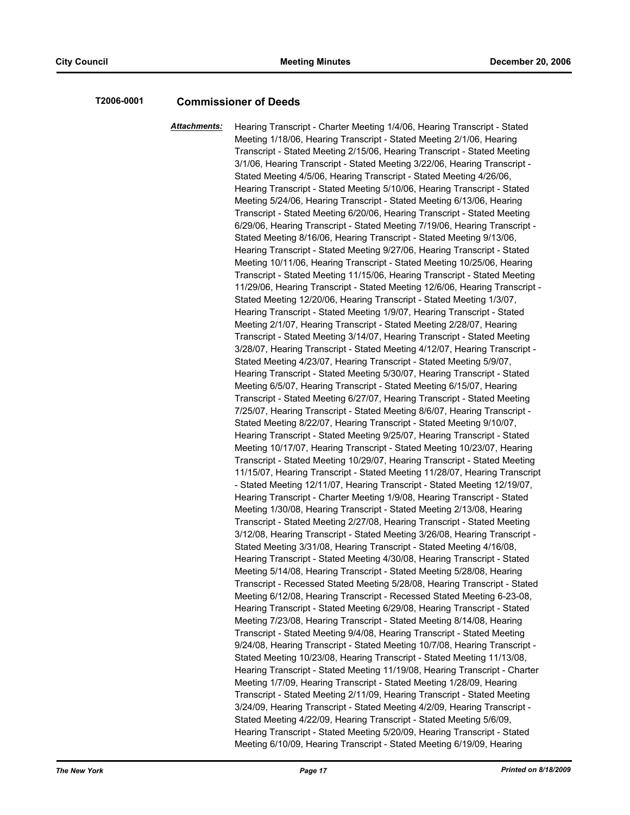# **T2006-0001 Commissioner of Deeds**

*Attachments:* Hearing Transcript - Charter Meeting 1/4/06, Hearing Transcript - Stated Meeting 1/18/06, Hearing Transcript - Stated Meeting 2/1/06, Hearing Transcript - Stated Meeting 2/15/06, Hearing Transcript - Stated Meeting 3/1/06, Hearing Transcript - Stated Meeting 3/22/06, Hearing Transcript - Stated Meeting 4/5/06, Hearing Transcript - Stated Meeting 4/26/06, Hearing Transcript - Stated Meeting 5/10/06, Hearing Transcript - Stated Meeting 5/24/06, Hearing Transcript - Stated Meeting 6/13/06, Hearing Transcript - Stated Meeting 6/20/06, Hearing Transcript - Stated Meeting 6/29/06, Hearing Transcript - Stated Meeting 7/19/06, Hearing Transcript - Stated Meeting 8/16/06, Hearing Transcript - Stated Meeting 9/13/06, Hearing Transcript - Stated Meeting 9/27/06, Hearing Transcript - Stated Meeting 10/11/06, Hearing Transcript - Stated Meeting 10/25/06, Hearing Transcript - Stated Meeting 11/15/06, Hearing Transcript - Stated Meeting 11/29/06, Hearing Transcript - Stated Meeting 12/6/06, Hearing Transcript - Stated Meeting 12/20/06, Hearing Transcript - Stated Meeting 1/3/07, Hearing Transcript - Stated Meeting 1/9/07, Hearing Transcript - Stated Meeting 2/1/07, Hearing Transcript - Stated Meeting 2/28/07, Hearing Transcript - Stated Meeting 3/14/07, Hearing Transcript - Stated Meeting 3/28/07, Hearing Transcript - Stated Meeting 4/12/07, Hearing Transcript - Stated Meeting 4/23/07, Hearing Transcript - Stated Meeting 5/9/07, Hearing Transcript - Stated Meeting 5/30/07, Hearing Transcript - Stated Meeting 6/5/07, Hearing Transcript - Stated Meeting 6/15/07, Hearing Transcript - Stated Meeting 6/27/07, Hearing Transcript - Stated Meeting 7/25/07, Hearing Transcript - Stated Meeting 8/6/07, Hearing Transcript - Stated Meeting 8/22/07, Hearing Transcript - Stated Meeting 9/10/07, Hearing Transcript - Stated Meeting 9/25/07, Hearing Transcript - Stated Meeting 10/17/07, Hearing Transcript - Stated Meeting 10/23/07, Hearing Transcript - Stated Meeting 10/29/07, Hearing Transcript - Stated Meeting 11/15/07, Hearing Transcript - Stated Meeting 11/28/07, Hearing Transcript - Stated Meeting 12/11/07, Hearing Transcript - Stated Meeting 12/19/07, Hearing Transcript - Charter Meeting 1/9/08, Hearing Transcript - Stated Meeting 1/30/08, Hearing Transcript - Stated Meeting 2/13/08, Hearing Transcript - Stated Meeting 2/27/08, Hearing Transcript - Stated Meeting 3/12/08, Hearing Transcript - Stated Meeting 3/26/08, Hearing Transcript - Stated Meeting 3/31/08, Hearing Transcript - Stated Meeting 4/16/08, Hearing Transcript - Stated Meeting 4/30/08, Hearing Transcript - Stated Meeting 5/14/08, Hearing Transcript - Stated Meeting 5/28/08, Hearing Transcript - Recessed Stated Meeting 5/28/08, Hearing Transcript - Stated Meeting 6/12/08, Hearing Transcript - Recessed Stated Meeting 6-23-08, Hearing Transcript - Stated Meeting 6/29/08, Hearing Transcript - Stated Meeting 7/23/08, Hearing Transcript - Stated Meeting 8/14/08, Hearing Transcript - Stated Meeting 9/4/08, Hearing Transcript - Stated Meeting 9/24/08, Hearing Transcript - Stated Meeting 10/7/08, Hearing Transcript - Stated Meeting 10/23/08, Hearing Transcript - Stated Meeting 11/13/08, Hearing Transcript - Stated Meeting 11/19/08, Hearing Transcript - Charter Meeting 1/7/09, Hearing Transcript - Stated Meeting 1/28/09, Hearing Transcript - Stated Meeting 2/11/09, Hearing Transcript - Stated Meeting 3/24/09, Hearing Transcript - Stated Meeting 4/2/09, Hearing Transcript - Stated Meeting 4/22/09, Hearing Transcript - Stated Meeting 5/6/09, Hearing Transcript - Stated Meeting 5/20/09, Hearing Transcript - Stated Meeting 6/10/09, Hearing Transcript - Stated Meeting 6/19/09, Hearing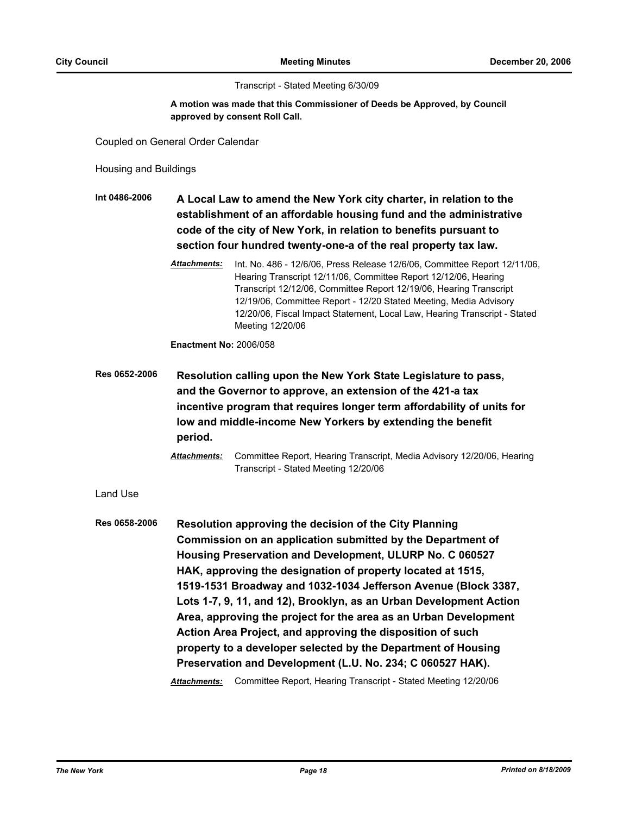Transcript - Stated Meeting 6/30/09

## **A motion was made that this Commissioner of Deeds be Approved, by Council approved by consent Roll Call.**

Coupled on General Order Calendar

Housing and Buildings

**Int 0486-2006 A Local Law to amend the New York city charter, in relation to the establishment of an affordable housing fund and the administrative code of the city of New York, in relation to benefits pursuant to section four hundred twenty-one-a of the real property tax law.**

> *Attachments:* Int. No. 486 - 12/6/06, Press Release 12/6/06, Committee Report 12/11/06, Hearing Transcript 12/11/06, Committee Report 12/12/06, Hearing Transcript 12/12/06, Committee Report 12/19/06, Hearing Transcript 12/19/06, Committee Report - 12/20 Stated Meeting, Media Advisory 12/20/06, Fiscal Impact Statement, Local Law, Hearing Transcript - Stated Meeting 12/20/06

**Enactment No:** 2006/058

**Res 0652-2006 Resolution calling upon the New York State Legislature to pass, and the Governor to approve, an extension of the 421-a tax incentive program that requires longer term affordability of units for low and middle-income New Yorkers by extending the benefit period.**

> *Attachments:* Committee Report, Hearing Transcript, Media Advisory 12/20/06, Hearing Transcript - Stated Meeting 12/20/06

Land Use

**Res 0658-2006 Resolution approving the decision of the City Planning Commission on an application submitted by the Department of Housing Preservation and Development, ULURP No. C 060527 HAK, approving the designation of property located at 1515, 1519-1531 Broadway and 1032-1034 Jefferson Avenue (Block 3387, Lots 1-7, 9, 11, and 12), Brooklyn, as an Urban Development Action Area, approving the project for the area as an Urban Development Action Area Project, and approving the disposition of such property to a developer selected by the Department of Housing Preservation and Development (L.U. No. 234; C 060527 HAK).** *Attachments:* Committee Report, Hearing Transcript - Stated Meeting 12/20/06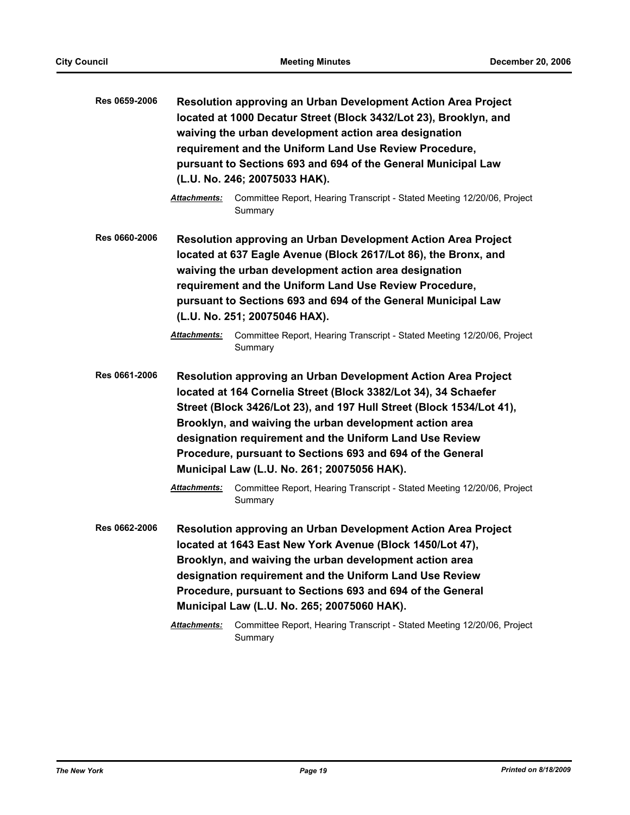| Res 0659-2006 |                                                                                                                                                                                                                                                                                                                                                                                                                                             | <b>Resolution approving an Urban Development Action Area Project</b><br>located at 1000 Decatur Street (Block 3432/Lot 23), Brooklyn, and<br>waiving the urban development action area designation<br>requirement and the Uniform Land Use Review Procedure,<br>pursuant to Sections 693 and 694 of the General Municipal Law<br>(L.U. No. 246; 20075033 HAK).       |
|---------------|---------------------------------------------------------------------------------------------------------------------------------------------------------------------------------------------------------------------------------------------------------------------------------------------------------------------------------------------------------------------------------------------------------------------------------------------|----------------------------------------------------------------------------------------------------------------------------------------------------------------------------------------------------------------------------------------------------------------------------------------------------------------------------------------------------------------------|
|               | Attachments:                                                                                                                                                                                                                                                                                                                                                                                                                                | Committee Report, Hearing Transcript - Stated Meeting 12/20/06, Project<br>Summary                                                                                                                                                                                                                                                                                   |
| Res 0660-2006 |                                                                                                                                                                                                                                                                                                                                                                                                                                             | <b>Resolution approving an Urban Development Action Area Project</b><br>located at 637 Eagle Avenue (Block 2617/Lot 86), the Bronx, and<br>waiving the urban development action area designation<br>requirement and the Uniform Land Use Review Procedure,<br>pursuant to Sections 693 and 694 of the General Municipal Law<br>(L.U. No. 251; 20075046 HAX).         |
|               | Attachments:                                                                                                                                                                                                                                                                                                                                                                                                                                | Committee Report, Hearing Transcript - Stated Meeting 12/20/06, Project<br>Summary                                                                                                                                                                                                                                                                                   |
| Res 0661-2006 | Resolution approving an Urban Development Action Area Project<br>located at 164 Cornelia Street (Block 3382/Lot 34), 34 Schaefer<br>Street (Block 3426/Lot 23), and 197 Hull Street (Block 1534/Lot 41),<br>Brooklyn, and waiving the urban development action area<br>designation requirement and the Uniform Land Use Review<br>Procedure, pursuant to Sections 693 and 694 of the General<br>Municipal Law (L.U. No. 261; 20075056 HAK). |                                                                                                                                                                                                                                                                                                                                                                      |
|               | Attachments:                                                                                                                                                                                                                                                                                                                                                                                                                                | Committee Report, Hearing Transcript - Stated Meeting 12/20/06, Project<br>Summary                                                                                                                                                                                                                                                                                   |
| Res 0662-2006 |                                                                                                                                                                                                                                                                                                                                                                                                                                             | <b>Resolution approving an Urban Development Action Area Project</b><br>located at 1643 East New York Avenue (Block 1450/Lot 47),<br>Brooklyn, and waiving the urban development action area<br>designation requirement and the Uniform Land Use Review<br>Procedure, pursuant to Sections 693 and 694 of the General<br>Municipal Law (L.U. No. 265; 20075060 HAK). |
|               | Attachments:                                                                                                                                                                                                                                                                                                                                                                                                                                | Committee Report, Hearing Transcript - Stated Meeting 12/20/06, Project<br>Summary                                                                                                                                                                                                                                                                                   |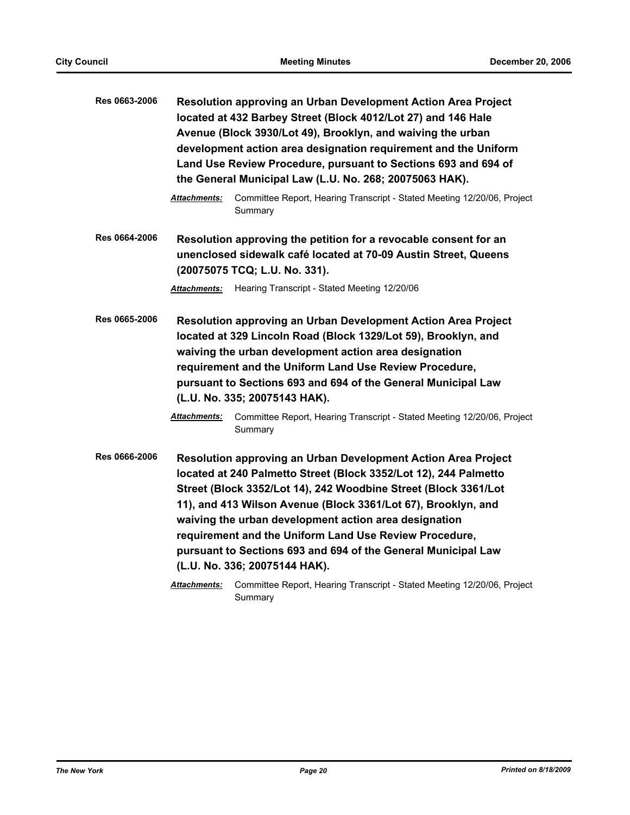| Res 0663-2006 | <b>Resolution approving an Urban Development Action Area Project</b><br>located at 432 Barbey Street (Block 4012/Lot 27) and 146 Hale<br>Avenue (Block 3930/Lot 49), Brooklyn, and waiving the urban<br>development action area designation requirement and the Uniform<br>Land Use Review Procedure, pursuant to Sections 693 and 694 of<br>the General Municipal Law (L.U. No. 268; 20075063 HAK). |                                                                                                                                                                                                                                                                                                                                                                                                                                                                                            |
|---------------|------------------------------------------------------------------------------------------------------------------------------------------------------------------------------------------------------------------------------------------------------------------------------------------------------------------------------------------------------------------------------------------------------|--------------------------------------------------------------------------------------------------------------------------------------------------------------------------------------------------------------------------------------------------------------------------------------------------------------------------------------------------------------------------------------------------------------------------------------------------------------------------------------------|
|               | <b>Attachments:</b>                                                                                                                                                                                                                                                                                                                                                                                  | Committee Report, Hearing Transcript - Stated Meeting 12/20/06, Project<br>Summary                                                                                                                                                                                                                                                                                                                                                                                                         |
| Res 0664-2006 |                                                                                                                                                                                                                                                                                                                                                                                                      | Resolution approving the petition for a revocable consent for an<br>unenclosed sidewalk café located at 70-09 Austin Street, Queens<br>(20075075 TCQ; L.U. No. 331).                                                                                                                                                                                                                                                                                                                       |
|               | Attachments:                                                                                                                                                                                                                                                                                                                                                                                         | Hearing Transcript - Stated Meeting 12/20/06                                                                                                                                                                                                                                                                                                                                                                                                                                               |
| Res 0665-2006 |                                                                                                                                                                                                                                                                                                                                                                                                      | <b>Resolution approving an Urban Development Action Area Project</b><br>located at 329 Lincoln Road (Block 1329/Lot 59), Brooklyn, and<br>waiving the urban development action area designation<br>requirement and the Uniform Land Use Review Procedure,<br>pursuant to Sections 693 and 694 of the General Municipal Law<br>(L.U. No. 335; 20075143 HAK).                                                                                                                                |
|               | <b>Attachments:</b>                                                                                                                                                                                                                                                                                                                                                                                  | Committee Report, Hearing Transcript - Stated Meeting 12/20/06, Project<br>Summary                                                                                                                                                                                                                                                                                                                                                                                                         |
| Res 0666-2006 |                                                                                                                                                                                                                                                                                                                                                                                                      | Resolution approving an Urban Development Action Area Project<br>located at 240 Palmetto Street (Block 3352/Lot 12), 244 Palmetto<br>Street (Block 3352/Lot 14), 242 Woodbine Street (Block 3361/Lot<br>11), and 413 Wilson Avenue (Block 3361/Lot 67), Brooklyn, and<br>waiving the urban development action area designation<br>requirement and the Uniform Land Use Review Procedure,<br>pursuant to Sections 693 and 694 of the General Municipal Law<br>(L.U. No. 336; 20075144 HAK). |
|               | Attachments:                                                                                                                                                                                                                                                                                                                                                                                         | Committee Report, Hearing Transcript - Stated Meeting 12/20/06, Project<br>Summary                                                                                                                                                                                                                                                                                                                                                                                                         |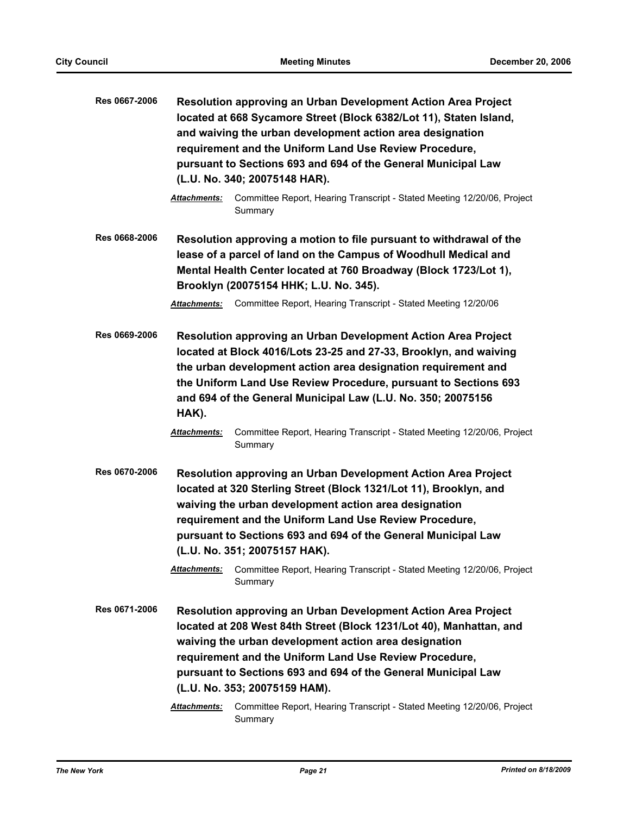| Res 0667-2006 |                                                                                                                                                                                                                                                      | Resolution approving an Urban Development Action Area Project<br>located at 668 Sycamore Street (Block 6382/Lot 11), Staten Island,<br>and waiving the urban development action area designation<br>requirement and the Uniform Land Use Review Procedure,<br>pursuant to Sections 693 and 694 of the General Municipal Law<br>(L.U. No. 340; 20075148 HAR).   |  |
|---------------|------------------------------------------------------------------------------------------------------------------------------------------------------------------------------------------------------------------------------------------------------|----------------------------------------------------------------------------------------------------------------------------------------------------------------------------------------------------------------------------------------------------------------------------------------------------------------------------------------------------------------|--|
|               | <b>Attachments:</b>                                                                                                                                                                                                                                  | Committee Report, Hearing Transcript - Stated Meeting 12/20/06, Project<br>Summary                                                                                                                                                                                                                                                                             |  |
| Res 0668-2006 | Resolution approving a motion to file pursuant to withdrawal of the<br>lease of a parcel of land on the Campus of Woodhull Medical and<br>Mental Health Center located at 760 Broadway (Block 1723/Lot 1),<br>Brooklyn (20075154 HHK; L.U. No. 345). |                                                                                                                                                                                                                                                                                                                                                                |  |
|               |                                                                                                                                                                                                                                                      | Attachments: Committee Report, Hearing Transcript - Stated Meeting 12/20/06                                                                                                                                                                                                                                                                                    |  |
| Res 0669-2006 | HAK).                                                                                                                                                                                                                                                | Resolution approving an Urban Development Action Area Project<br>located at Block 4016/Lots 23-25 and 27-33, Brooklyn, and waiving<br>the urban development action area designation requirement and<br>the Uniform Land Use Review Procedure, pursuant to Sections 693<br>and 694 of the General Municipal Law (L.U. No. 350; 20075156                         |  |
|               | <b>Attachments:</b>                                                                                                                                                                                                                                  | Committee Report, Hearing Transcript - Stated Meeting 12/20/06, Project<br>Summary                                                                                                                                                                                                                                                                             |  |
| Res 0670-2006 |                                                                                                                                                                                                                                                      | <b>Resolution approving an Urban Development Action Area Project</b><br>located at 320 Sterling Street (Block 1321/Lot 11), Brooklyn, and<br>waiving the urban development action area designation<br>requirement and the Uniform Land Use Review Procedure,<br>pursuant to Sections 693 and 694 of the General Municipal Law<br>(L.U. No. 351; 20075157 HAK). |  |
|               | Attachments:                                                                                                                                                                                                                                         | Committee Report, Hearing Transcript - Stated Meeting 12/20/06, Project<br>Summary                                                                                                                                                                                                                                                                             |  |
| Res 0671-2006 |                                                                                                                                                                                                                                                      | Resolution approving an Urban Development Action Area Project<br>located at 208 West 84th Street (Block 1231/Lot 40), Manhattan, and                                                                                                                                                                                                                           |  |
|               |                                                                                                                                                                                                                                                      | waiving the urban development action area designation                                                                                                                                                                                                                                                                                                          |  |
|               |                                                                                                                                                                                                                                                      | requirement and the Uniform Land Use Review Procedure,                                                                                                                                                                                                                                                                                                         |  |
|               |                                                                                                                                                                                                                                                      | pursuant to Sections 693 and 694 of the General Municipal Law<br>(L.U. No. 353; 20075159 HAM).                                                                                                                                                                                                                                                                 |  |
|               |                                                                                                                                                                                                                                                      |                                                                                                                                                                                                                                                                                                                                                                |  |
|               | Attachments:                                                                                                                                                                                                                                         | Committee Report, Hearing Transcript - Stated Meeting 12/20/06, Project<br>Summary                                                                                                                                                                                                                                                                             |  |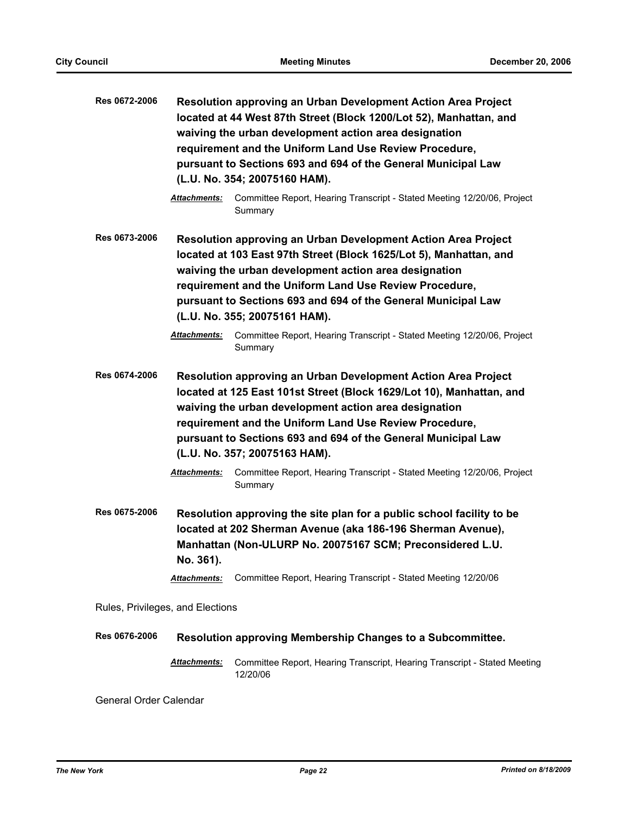| Res 0672-2006                    | Resolution approving an Urban Development Action Area Project<br>located at 44 West 87th Street (Block 1200/Lot 52), Manhattan, and<br>waiving the urban development action area designation<br>requirement and the Uniform Land Use Review Procedure,<br>pursuant to Sections 693 and 694 of the General Municipal Law<br>(L.U. No. 354; 20075160 HAM).                                                                                                     |                                                                                       |  |  |
|----------------------------------|--------------------------------------------------------------------------------------------------------------------------------------------------------------------------------------------------------------------------------------------------------------------------------------------------------------------------------------------------------------------------------------------------------------------------------------------------------------|---------------------------------------------------------------------------------------|--|--|
|                                  | Attachments:                                                                                                                                                                                                                                                                                                                                                                                                                                                 | Committee Report, Hearing Transcript - Stated Meeting 12/20/06, Project<br>Summary    |  |  |
| Res 0673-2006                    | Resolution approving an Urban Development Action Area Project<br>located at 103 East 97th Street (Block 1625/Lot 5), Manhattan, and<br>waiving the urban development action area designation<br>requirement and the Uniform Land Use Review Procedure,<br>pursuant to Sections 693 and 694 of the General Municipal Law<br>(L.U. No. 355; 20075161 HAM).                                                                                                     |                                                                                       |  |  |
|                                  | Attachments:                                                                                                                                                                                                                                                                                                                                                                                                                                                 | Committee Report, Hearing Transcript - Stated Meeting 12/20/06, Project<br>Summary    |  |  |
| Res 0674-2006                    | Resolution approving an Urban Development Action Area Project<br>located at 125 East 101st Street (Block 1629/Lot 10), Manhattan, and<br>waiving the urban development action area designation<br>requirement and the Uniform Land Use Review Procedure,<br>pursuant to Sections 693 and 694 of the General Municipal Law<br>(L.U. No. 357; 20075163 HAM).<br>Committee Report, Hearing Transcript - Stated Meeting 12/20/06, Project<br><b>Attachments:</b> |                                                                                       |  |  |
| Res 0675-2006                    | Summary<br>Resolution approving the site plan for a public school facility to be<br>located at 202 Sherman Avenue (aka 186-196 Sherman Avenue),<br>Manhattan (Non-ULURP No. 20075167 SCM; Preconsidered L.U.<br>No. 361).                                                                                                                                                                                                                                    |                                                                                       |  |  |
|                                  | <b>Attachments:</b>                                                                                                                                                                                                                                                                                                                                                                                                                                          | Committee Report, Hearing Transcript - Stated Meeting 12/20/06                        |  |  |
| Rules, Privileges, and Elections |                                                                                                                                                                                                                                                                                                                                                                                                                                                              |                                                                                       |  |  |
| Res 0676-2006                    |                                                                                                                                                                                                                                                                                                                                                                                                                                                              | Resolution approving Membership Changes to a Subcommittee.                            |  |  |
|                                  | <b>Attachments:</b>                                                                                                                                                                                                                                                                                                                                                                                                                                          | Committee Report, Hearing Transcript, Hearing Transcript - Stated Meeting<br>12/20/06 |  |  |

General Order Calendar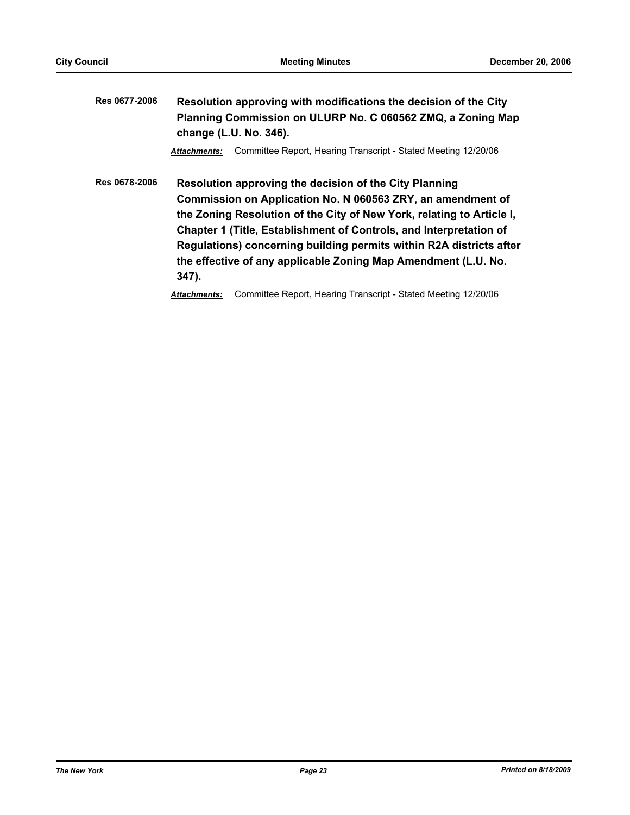**Res 0677-2006 Resolution approving with modifications the decision of the City Planning Commission on ULURP No. C 060562 ZMQ, a Zoning Map change (L.U. No. 346).**

*Attachments:* Committee Report, Hearing Transcript - Stated Meeting 12/20/06

**Res 0678-2006 Resolution approving the decision of the City Planning Commission on Application No. N 060563 ZRY, an amendment of the Zoning Resolution of the City of New York, relating to Article I, Chapter 1 (Title, Establishment of Controls, and Interpretation of Regulations) concerning building permits within R2A districts after the effective of any applicable Zoning Map Amendment (L.U. No. 347).**

*Attachments:* Committee Report, Hearing Transcript - Stated Meeting 12/20/06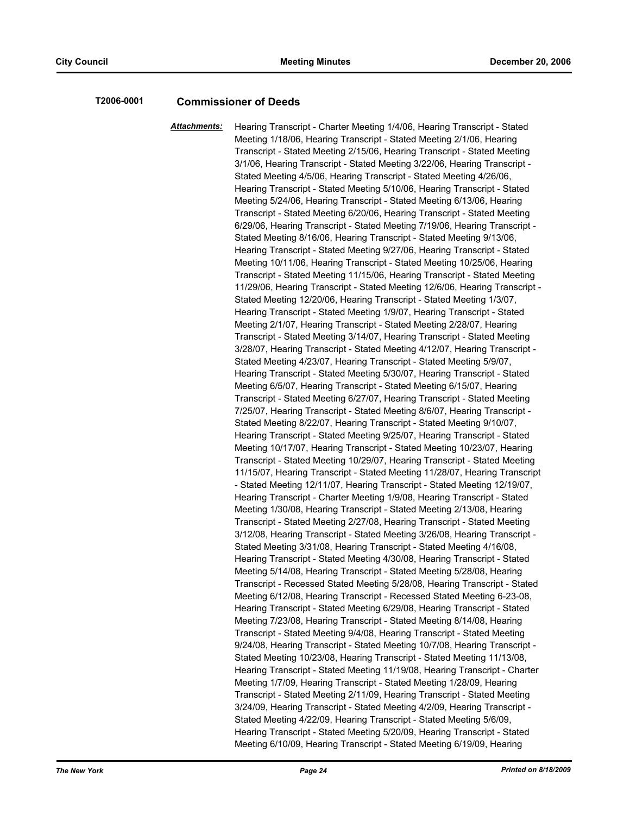# **T2006-0001 Commissioner of Deeds**

*Attachments:* Hearing Transcript - Charter Meeting 1/4/06, Hearing Transcript - Stated Meeting 1/18/06, Hearing Transcript - Stated Meeting 2/1/06, Hearing Transcript - Stated Meeting 2/15/06, Hearing Transcript - Stated Meeting 3/1/06, Hearing Transcript - Stated Meeting 3/22/06, Hearing Transcript - Stated Meeting 4/5/06, Hearing Transcript - Stated Meeting 4/26/06, Hearing Transcript - Stated Meeting 5/10/06, Hearing Transcript - Stated Meeting 5/24/06, Hearing Transcript - Stated Meeting 6/13/06, Hearing Transcript - Stated Meeting 6/20/06, Hearing Transcript - Stated Meeting 6/29/06, Hearing Transcript - Stated Meeting 7/19/06, Hearing Transcript - Stated Meeting 8/16/06, Hearing Transcript - Stated Meeting 9/13/06, Hearing Transcript - Stated Meeting 9/27/06, Hearing Transcript - Stated Meeting 10/11/06, Hearing Transcript - Stated Meeting 10/25/06, Hearing Transcript - Stated Meeting 11/15/06, Hearing Transcript - Stated Meeting 11/29/06, Hearing Transcript - Stated Meeting 12/6/06, Hearing Transcript - Stated Meeting 12/20/06, Hearing Transcript - Stated Meeting 1/3/07, Hearing Transcript - Stated Meeting 1/9/07, Hearing Transcript - Stated Meeting 2/1/07, Hearing Transcript - Stated Meeting 2/28/07, Hearing Transcript - Stated Meeting 3/14/07, Hearing Transcript - Stated Meeting 3/28/07, Hearing Transcript - Stated Meeting 4/12/07, Hearing Transcript - Stated Meeting 4/23/07, Hearing Transcript - Stated Meeting 5/9/07, Hearing Transcript - Stated Meeting 5/30/07, Hearing Transcript - Stated Meeting 6/5/07, Hearing Transcript - Stated Meeting 6/15/07, Hearing Transcript - Stated Meeting 6/27/07, Hearing Transcript - Stated Meeting 7/25/07, Hearing Transcript - Stated Meeting 8/6/07, Hearing Transcript - Stated Meeting 8/22/07, Hearing Transcript - Stated Meeting 9/10/07, Hearing Transcript - Stated Meeting 9/25/07, Hearing Transcript - Stated Meeting 10/17/07, Hearing Transcript - Stated Meeting 10/23/07, Hearing Transcript - Stated Meeting 10/29/07, Hearing Transcript - Stated Meeting 11/15/07, Hearing Transcript - Stated Meeting 11/28/07, Hearing Transcript - Stated Meeting 12/11/07, Hearing Transcript - Stated Meeting 12/19/07, Hearing Transcript - Charter Meeting 1/9/08, Hearing Transcript - Stated Meeting 1/30/08, Hearing Transcript - Stated Meeting 2/13/08, Hearing Transcript - Stated Meeting 2/27/08, Hearing Transcript - Stated Meeting 3/12/08, Hearing Transcript - Stated Meeting 3/26/08, Hearing Transcript - Stated Meeting 3/31/08, Hearing Transcript - Stated Meeting 4/16/08, Hearing Transcript - Stated Meeting 4/30/08, Hearing Transcript - Stated Meeting 5/14/08, Hearing Transcript - Stated Meeting 5/28/08, Hearing Transcript - Recessed Stated Meeting 5/28/08, Hearing Transcript - Stated Meeting 6/12/08, Hearing Transcript - Recessed Stated Meeting 6-23-08, Hearing Transcript - Stated Meeting 6/29/08, Hearing Transcript - Stated Meeting 7/23/08, Hearing Transcript - Stated Meeting 8/14/08, Hearing Transcript - Stated Meeting 9/4/08, Hearing Transcript - Stated Meeting 9/24/08, Hearing Transcript - Stated Meeting 10/7/08, Hearing Transcript - Stated Meeting 10/23/08, Hearing Transcript - Stated Meeting 11/13/08, Hearing Transcript - Stated Meeting 11/19/08, Hearing Transcript - Charter Meeting 1/7/09, Hearing Transcript - Stated Meeting 1/28/09, Hearing Transcript - Stated Meeting 2/11/09, Hearing Transcript - Stated Meeting 3/24/09, Hearing Transcript - Stated Meeting 4/2/09, Hearing Transcript - Stated Meeting 4/22/09, Hearing Transcript - Stated Meeting 5/6/09, Hearing Transcript - Stated Meeting 5/20/09, Hearing Transcript - Stated Meeting 6/10/09, Hearing Transcript - Stated Meeting 6/19/09, Hearing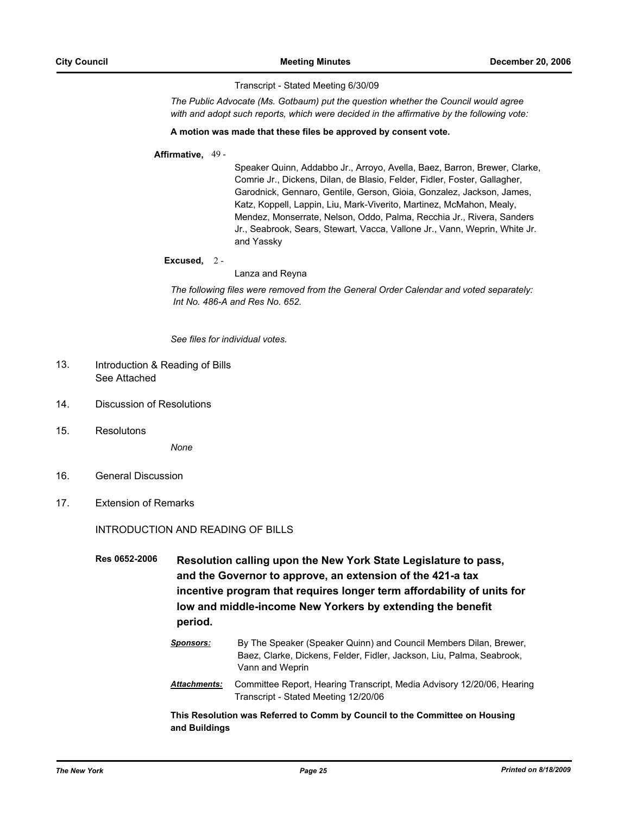Transcript - Stated Meeting 6/30/09

*The Public Advocate (Ms. Gotbaum) put the question whether the Council would agree with and adopt such reports, which were decided in the affirmative by the following vote:*

#### **A motion was made that these files be approved by consent vote.**

### **Affirmative,** 49 -

Speaker Quinn, Addabbo Jr., Arroyo, Avella, Baez, Barron, Brewer, Clarke, Comrie Jr., Dickens, Dilan, de Blasio, Felder, Fidler, Foster, Gallagher, Garodnick, Gennaro, Gentile, Gerson, Gioia, Gonzalez, Jackson, James, Katz, Koppell, Lappin, Liu, Mark-Viverito, Martinez, McMahon, Mealy, Mendez, Monserrate, Nelson, Oddo, Palma, Recchia Jr., Rivera, Sanders Jr., Seabrook, Sears, Stewart, Vacca, Vallone Jr., Vann, Weprin, White Jr. and Yassky

#### **Excused,** 2 -

#### Lanza and Reyna

*The following files were removed from the General Order Calendar and voted separately: Int No. 486-A and Res No. 652.*

*See files for individual votes.*

#### Introduction & Reading of Bills See Attached 13.

- 14. Discussion of Resolutions
- 15. Resolutons

*None*

- 16. General Discussion
- 17. Extension of Remarks

INTRODUCTION AND READING OF BILLS

**Res 0652-2006 Resolution calling upon the New York State Legislature to pass, and the Governor to approve, an extension of the 421-a tax incentive program that requires longer term affordability of units for low and middle-income New Yorkers by extending the benefit period.**

- *Sponsors:* By The Speaker (Speaker Quinn) and Council Members Dilan, Brewer, Baez, Clarke, Dickens, Felder, Fidler, Jackson, Liu, Palma, Seabrook, Vann and Weprin
- *Attachments:* Committee Report, Hearing Transcript, Media Advisory 12/20/06, Hearing Transcript - Stated Meeting 12/20/06

**This Resolution was Referred to Comm by Council to the Committee on Housing and Buildings**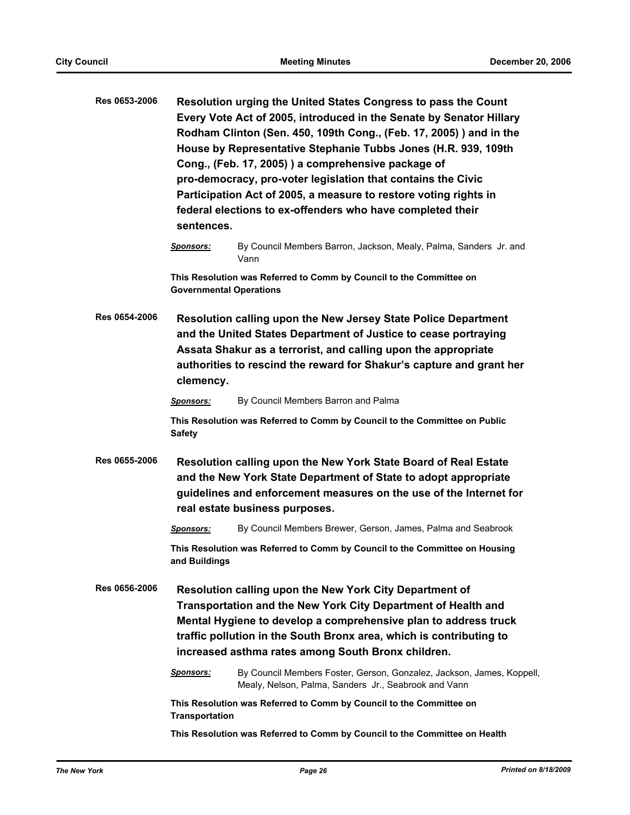| Res 0653-2006 | Resolution urging the United States Congress to pass the Count<br>Every Vote Act of 2005, introduced in the Senate by Senator Hillary<br>Rodham Clinton (Sen. 450, 109th Cong., (Feb. 17, 2005)) and in the<br>House by Representative Stephanie Tubbs Jones (H.R. 939, 109th<br>Cong., (Feb. 17, 2005)) a comprehensive package of<br>pro-democracy, pro-voter legislation that contains the Civic<br>Participation Act of 2005, a measure to restore voting rights in<br>federal elections to ex-offenders who have completed their<br>sentences. |                                                                                                                               |  |  |
|---------------|-----------------------------------------------------------------------------------------------------------------------------------------------------------------------------------------------------------------------------------------------------------------------------------------------------------------------------------------------------------------------------------------------------------------------------------------------------------------------------------------------------------------------------------------------------|-------------------------------------------------------------------------------------------------------------------------------|--|--|
|               | <b>Sponsors:</b>                                                                                                                                                                                                                                                                                                                                                                                                                                                                                                                                    | By Council Members Barron, Jackson, Mealy, Palma, Sanders Jr. and<br>Vann                                                     |  |  |
|               | This Resolution was Referred to Comm by Council to the Committee on<br><b>Governmental Operations</b>                                                                                                                                                                                                                                                                                                                                                                                                                                               |                                                                                                                               |  |  |
| Res 0654-2006 | <b>Resolution calling upon the New Jersey State Police Department</b><br>and the United States Department of Justice to cease portraying<br>Assata Shakur as a terrorist, and calling upon the appropriate<br>authorities to rescind the reward for Shakur's capture and grant her<br>clemency.                                                                                                                                                                                                                                                     |                                                                                                                               |  |  |
|               | Sponsors:                                                                                                                                                                                                                                                                                                                                                                                                                                                                                                                                           | By Council Members Barron and Palma                                                                                           |  |  |
|               | <b>Safety</b>                                                                                                                                                                                                                                                                                                                                                                                                                                                                                                                                       | This Resolution was Referred to Comm by Council to the Committee on Public                                                    |  |  |
| Res 0655-2006 | Resolution calling upon the New York State Board of Real Estate<br>and the New York State Department of State to adopt appropriate<br>guidelines and enforcement measures on the use of the Internet for<br>real estate business purposes.                                                                                                                                                                                                                                                                                                          |                                                                                                                               |  |  |
|               | <b>Sponsors:</b>                                                                                                                                                                                                                                                                                                                                                                                                                                                                                                                                    | By Council Members Brewer, Gerson, James, Palma and Seabrook                                                                  |  |  |
|               | This Resolution was Referred to Comm by Council to the Committee on Housing<br>and Buildings                                                                                                                                                                                                                                                                                                                                                                                                                                                        |                                                                                                                               |  |  |
| Res 0656-2006 | Resolution calling upon the New York City Department of<br>Transportation and the New York City Department of Health and<br>Mental Hygiene to develop a comprehensive plan to address truck<br>traffic pollution in the South Bronx area, which is contributing to<br>increased asthma rates among South Bronx children.                                                                                                                                                                                                                            |                                                                                                                               |  |  |
|               | <b>Sponsors:</b>                                                                                                                                                                                                                                                                                                                                                                                                                                                                                                                                    | By Council Members Foster, Gerson, Gonzalez, Jackson, James, Koppell,<br>Mealy, Nelson, Palma, Sanders Jr., Seabrook and Vann |  |  |
|               | This Resolution was Referred to Comm by Council to the Committee on<br><b>Transportation</b>                                                                                                                                                                                                                                                                                                                                                                                                                                                        |                                                                                                                               |  |  |
|               |                                                                                                                                                                                                                                                                                                                                                                                                                                                                                                                                                     | This Resolution was Referred to Comm by Council to the Committee on Health                                                    |  |  |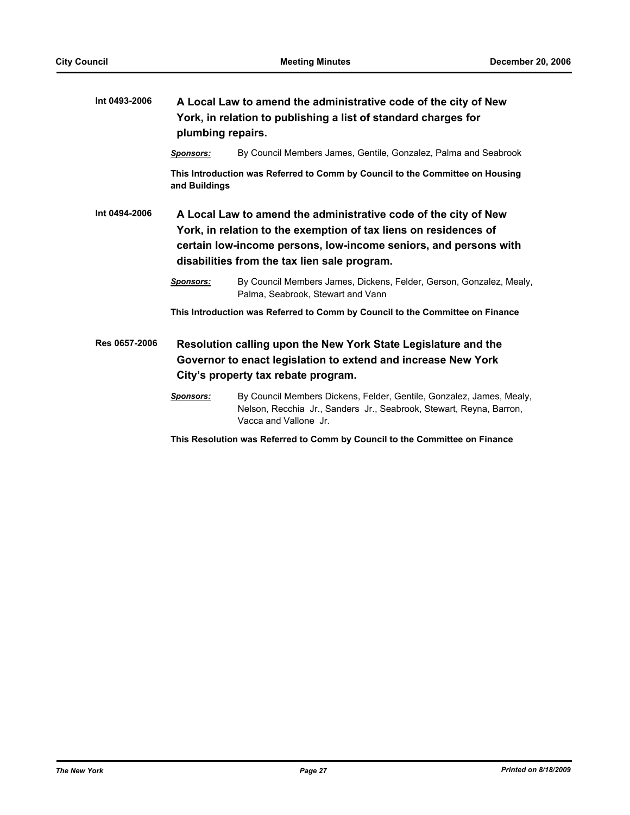| Int 0493-2006 | A Local Law to amend the administrative code of the city of New<br>York, in relation to publishing a list of standard charges for<br>plumbing repairs.                                                                                                  |                                                                                                                                                                      |  |  |
|---------------|---------------------------------------------------------------------------------------------------------------------------------------------------------------------------------------------------------------------------------------------------------|----------------------------------------------------------------------------------------------------------------------------------------------------------------------|--|--|
|               | <b>Sponsors:</b>                                                                                                                                                                                                                                        | By Council Members James, Gentile, Gonzalez, Palma and Seabrook                                                                                                      |  |  |
|               | and Buildings                                                                                                                                                                                                                                           | This Introduction was Referred to Comm by Council to the Committee on Housing                                                                                        |  |  |
| Int 0494-2006 | A Local Law to amend the administrative code of the city of New<br>York, in relation to the exemption of tax liens on residences of<br>certain low-income persons, low-income seniors, and persons with<br>disabilities from the tax lien sale program. |                                                                                                                                                                      |  |  |
|               | <b>Sponsors:</b>                                                                                                                                                                                                                                        | By Council Members James, Dickens, Felder, Gerson, Gonzalez, Mealy,<br>Palma, Seabrook, Stewart and Vann                                                             |  |  |
|               | This Introduction was Referred to Comm by Council to the Committee on Finance                                                                                                                                                                           |                                                                                                                                                                      |  |  |
| Res 0657-2006 | Resolution calling upon the New York State Legislature and the<br>Governor to enact legislation to extend and increase New York<br>City's property tax rebate program.                                                                                  |                                                                                                                                                                      |  |  |
|               | <b>Sponsors:</b>                                                                                                                                                                                                                                        | By Council Members Dickens, Felder, Gentile, Gonzalez, James, Mealy,<br>Nelson, Recchia Jr., Sanders Jr., Seabrook, Stewart, Reyna, Barron,<br>Vacca and Vallone Jr. |  |  |
|               | This Resolution was Referred to Comm by Council to the Committee on Finance                                                                                                                                                                             |                                                                                                                                                                      |  |  |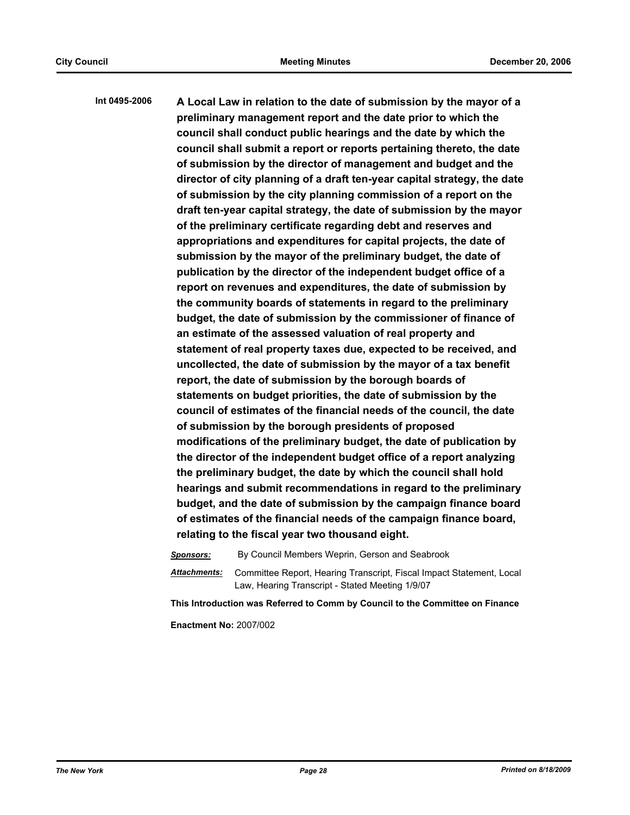**Int 0495-2006 A Local Law in relation to the date of submission by the mayor of a preliminary management report and the date prior to which the council shall conduct public hearings and the date by which the council shall submit a report or reports pertaining thereto, the date of submission by the director of management and budget and the director of city planning of a draft ten-year capital strategy, the date of submission by the city planning commission of a report on the draft ten-year capital strategy, the date of submission by the mayor of the preliminary certificate regarding debt and reserves and appropriations and expenditures for capital projects, the date of submission by the mayor of the preliminary budget, the date of publication by the director of the independent budget office of a report on revenues and expenditures, the date of submission by the community boards of statements in regard to the preliminary budget, the date of submission by the commissioner of finance of an estimate of the assessed valuation of real property and statement of real property taxes due, expected to be received, and uncollected, the date of submission by the mayor of a tax benefit report, the date of submission by the borough boards of statements on budget priorities, the date of submission by the council of estimates of the financial needs of the council, the date of submission by the borough presidents of proposed modifications of the preliminary budget, the date of publication by the director of the independent budget office of a report analyzing the preliminary budget, the date by which the council shall hold hearings and submit recommendations in regard to the preliminary budget, and the date of submission by the campaign finance board of estimates of the financial needs of the campaign finance board, relating to the fiscal year two thousand eight.**

*Sponsors:* By Council Members Weprin, Gerson and Seabrook

*Attachments:* Committee Report, Hearing Transcript, Fiscal Impact Statement, Local Law, Hearing Transcript - Stated Meeting 1/9/07

**This Introduction was Referred to Comm by Council to the Committee on Finance**

**Enactment No:** 2007/002